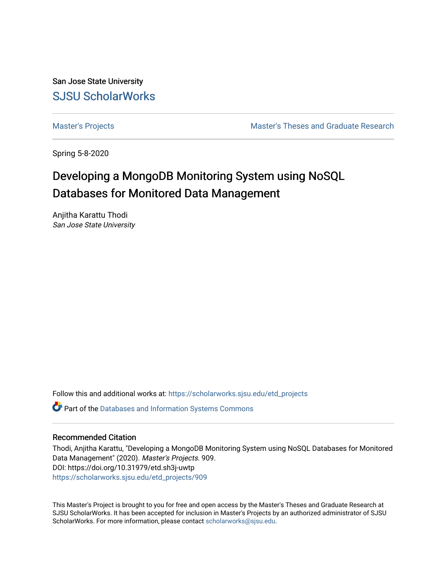San Jose State University [SJSU ScholarWorks](https://scholarworks.sjsu.edu/) 

[Master's Projects](https://scholarworks.sjsu.edu/etd_projects) [Master's Theses and Graduate Research](https://scholarworks.sjsu.edu/etd) 

Spring 5-8-2020

# Developing a MongoDB Monitoring System using NoSQL Databases for Monitored Data Management

Anjitha Karattu Thodi San Jose State University

Follow this and additional works at: [https://scholarworks.sjsu.edu/etd\\_projects](https://scholarworks.sjsu.edu/etd_projects?utm_source=scholarworks.sjsu.edu%2Fetd_projects%2F909&utm_medium=PDF&utm_campaign=PDFCoverPages) 

Part of the [Databases and Information Systems Commons](http://network.bepress.com/hgg/discipline/145?utm_source=scholarworks.sjsu.edu%2Fetd_projects%2F909&utm_medium=PDF&utm_campaign=PDFCoverPages)

# Recommended Citation

Thodi, Anjitha Karattu, "Developing a MongoDB Monitoring System using NoSQL Databases for Monitored Data Management" (2020). Master's Projects. 909. DOI: https://doi.org/10.31979/etd.sh3j-uwtp [https://scholarworks.sjsu.edu/etd\\_projects/909](https://scholarworks.sjsu.edu/etd_projects/909?utm_source=scholarworks.sjsu.edu%2Fetd_projects%2F909&utm_medium=PDF&utm_campaign=PDFCoverPages) 

This Master's Project is brought to you for free and open access by the Master's Theses and Graduate Research at SJSU ScholarWorks. It has been accepted for inclusion in Master's Projects by an authorized administrator of SJSU ScholarWorks. For more information, please contact [scholarworks@sjsu.edu](mailto:scholarworks@sjsu.edu).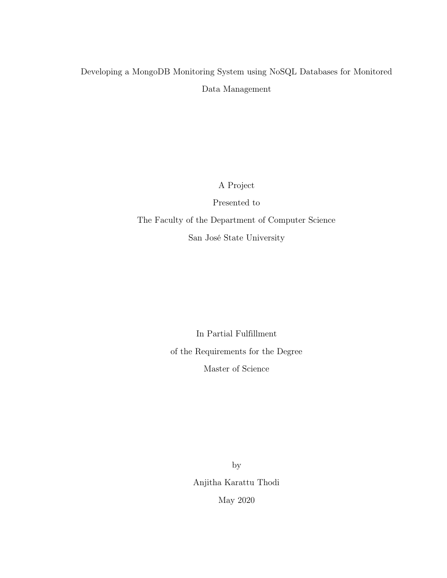# Developing a MongoDB Monitoring System using NoSQL Databases for Monitored Data Management

A Project

Presented to The Faculty of the Department of Computer Science San José State University

> In Partial Fulfillment of the Requirements for the Degree Master of Science

> > by Anjitha Karattu Thodi May 2020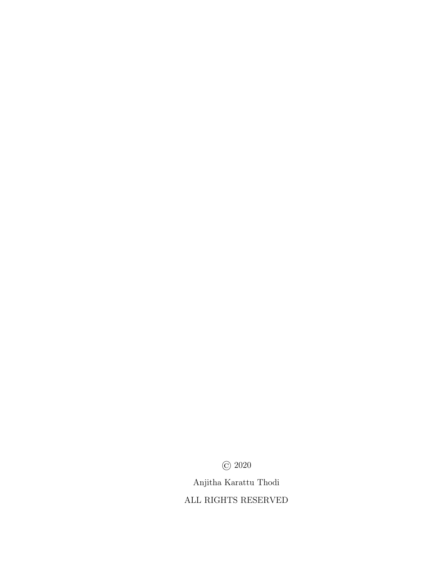© 2020

Anjitha Karattu Thodi

ALL RIGHTS RESERVED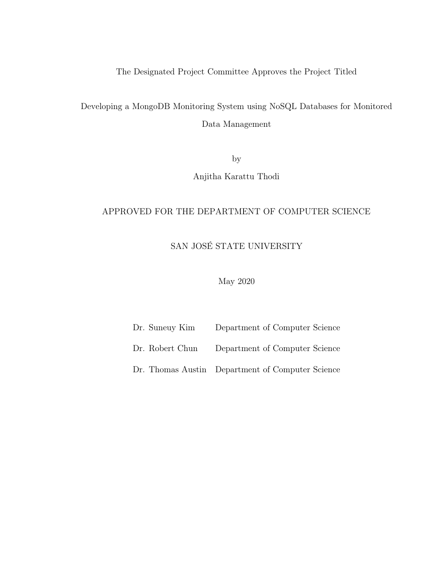The Designated Project Committee Approves the Project Titled

Developing a MongoDB Monitoring System using NoSQL Databases for Monitored Data Management

by

Anjitha Karattu Thodi

# APPROVED FOR THE DEPARTMENT OF COMPUTER SCIENCE

# SAN JOSÉ STATE UNIVERSITY

May 2020

| Dr. Suneuy Kim  | Department of Computer Science                   |  |
|-----------------|--------------------------------------------------|--|
| Dr. Robert Chun | Department of Computer Science                   |  |
|                 | Dr. Thomas Austin Department of Computer Science |  |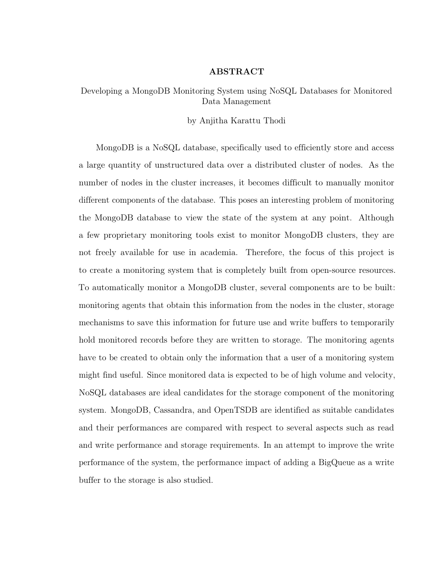# ABSTRACT

# Developing a MongoDB Monitoring System using NoSQL Databases for Monitored Data Management

#### by Anjitha Karattu Thodi

MongoDB is a NoSQL database, specifically used to efficiently store and access a large quantity of unstructured data over a distributed cluster of nodes. As the number of nodes in the cluster increases, it becomes difficult to manually monitor different components of the database. This poses an interesting problem of monitoring the MongoDB database to view the state of the system at any point. Although a few proprietary monitoring tools exist to monitor MongoDB clusters, they are not freely available for use in academia. Therefore, the focus of this project is to create a monitoring system that is completely built from open-source resources. To automatically monitor a MongoDB cluster, several components are to be built: monitoring agents that obtain this information from the nodes in the cluster, storage mechanisms to save this information for future use and write buffers to temporarily hold monitored records before they are written to storage. The monitoring agents have to be created to obtain only the information that a user of a monitoring system might find useful. Since monitored data is expected to be of high volume and velocity, NoSQL databases are ideal candidates for the storage component of the monitoring system. MongoDB, Cassandra, and OpenTSDB are identified as suitable candidates and their performances are compared with respect to several aspects such as read and write performance and storage requirements. In an attempt to improve the write performance of the system, the performance impact of adding a BigQueue as a write buffer to the storage is also studied.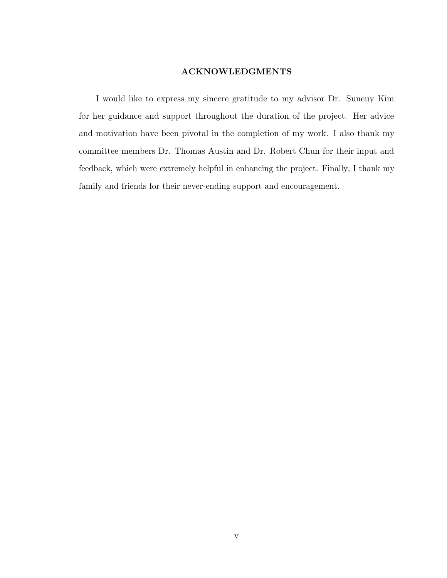# ACKNOWLEDGMENTS

I would like to express my sincere gratitude to my advisor Dr. Suneuy Kim for her guidance and support throughout the duration of the project. Her advice and motivation have been pivotal in the completion of my work. I also thank my committee members Dr. Thomas Austin and Dr. Robert Chun for their input and feedback, which were extremely helpful in enhancing the project. Finally, I thank my family and friends for their never-ending support and encouragement.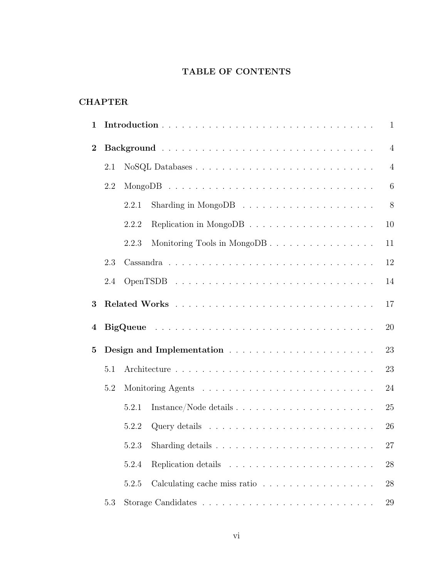# TABLE OF CONTENTS

| <b>CHAPTER</b> |
|----------------|
|----------------|

| 1              |     |       |                                                                        | $\mathbf{1}$   |
|----------------|-----|-------|------------------------------------------------------------------------|----------------|
| $\overline{2}$ |     |       |                                                                        | $\overline{4}$ |
|                | 2.1 |       |                                                                        | $\overline{4}$ |
|                | 2.2 |       |                                                                        | 6              |
|                |     | 2.2.1 | Sharding in MongoDB $\ldots \ldots \ldots \ldots \ldots \ldots \ldots$ | 8              |
|                |     | 2.2.2 |                                                                        | 10             |
|                |     | 2.2.3 | Monitoring Tools in MongoDB                                            | 11             |
|                | 2.3 |       |                                                                        | 12             |
|                | 2.4 |       |                                                                        | 14             |
| 3              |     |       |                                                                        | 17             |
| $\bf{4}$       |     |       |                                                                        | 20             |
| $\overline{5}$ |     |       |                                                                        | 23             |
|                | 5.1 |       |                                                                        | 23             |
|                | 5.2 |       |                                                                        | 24             |
|                |     | 5.2.1 |                                                                        | 25             |
|                |     | 5.2.2 |                                                                        | 26             |
|                |     | 5.2.3 |                                                                        | 27             |
|                |     | 5.2.4 |                                                                        | 28             |
|                |     | 5.2.5 | Calculating cache miss ratio                                           | 28             |
|                | 5.3 |       |                                                                        | 29             |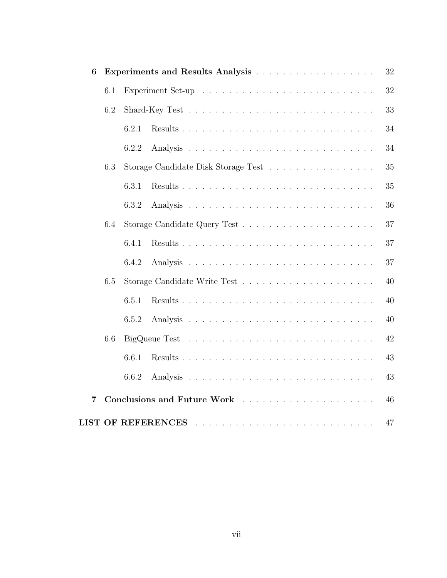| 6              |     |       |                                                                                                                                                                                                                                                                                                                                                                                                                                            | 32 |
|----------------|-----|-------|--------------------------------------------------------------------------------------------------------------------------------------------------------------------------------------------------------------------------------------------------------------------------------------------------------------------------------------------------------------------------------------------------------------------------------------------|----|
|                | 6.1 |       |                                                                                                                                                                                                                                                                                                                                                                                                                                            | 32 |
|                | 6.2 |       |                                                                                                                                                                                                                                                                                                                                                                                                                                            | 33 |
|                |     | 6.2.1 |                                                                                                                                                                                                                                                                                                                                                                                                                                            | 34 |
|                |     | 6.2.2 |                                                                                                                                                                                                                                                                                                                                                                                                                                            | 34 |
|                | 6.3 |       | Storage Candidate Disk Storage Test                                                                                                                                                                                                                                                                                                                                                                                                        | 35 |
|                |     | 6.3.1 |                                                                                                                                                                                                                                                                                                                                                                                                                                            | 35 |
|                |     | 6.3.2 |                                                                                                                                                                                                                                                                                                                                                                                                                                            | 36 |
|                | 6.4 |       |                                                                                                                                                                                                                                                                                                                                                                                                                                            | 37 |
|                |     | 6.4.1 |                                                                                                                                                                                                                                                                                                                                                                                                                                            | 37 |
|                |     | 6.4.2 |                                                                                                                                                                                                                                                                                                                                                                                                                                            | 37 |
|                | 6.5 |       |                                                                                                                                                                                                                                                                                                                                                                                                                                            | 40 |
|                |     | 6.5.1 |                                                                                                                                                                                                                                                                                                                                                                                                                                            | 40 |
|                |     | 6.5.2 |                                                                                                                                                                                                                                                                                                                                                                                                                                            | 40 |
|                | 6.6 |       |                                                                                                                                                                                                                                                                                                                                                                                                                                            | 42 |
|                |     | 6.6.1 |                                                                                                                                                                                                                                                                                                                                                                                                                                            | 43 |
|                |     | 6.6.2 |                                                                                                                                                                                                                                                                                                                                                                                                                                            | 43 |
| $\overline{7}$ |     |       |                                                                                                                                                                                                                                                                                                                                                                                                                                            | 46 |
|                |     |       | <b>LIST OF REFERENCES</b><br>$\mathcal{L}^{(1)}(\mathcal{L}^{(1)}(\mathcal{L}^{(1)}(\mathcal{L}^{(1)}(\mathcal{L}^{(1)}(\mathcal{L}^{(1)}(\mathcal{L}^{(1)}(\mathcal{L}^{(1)}(\mathcal{L}^{(1)}(\mathcal{L}^{(1)}(\mathcal{L}^{(1)}(\mathcal{L}^{(1)}(\mathcal{L}^{(1)}(\mathcal{L}^{(1)}(\mathcal{L}^{(1)}(\mathcal{L}^{(1)}(\mathcal{L}^{(1)}(\mathcal{L}^{(1)}(\mathcal{L}^{(1)}(\mathcal{L}^{(1)}(\mathcal{L}^{(1)}(\mathcal{L}^{(1)}$ | 47 |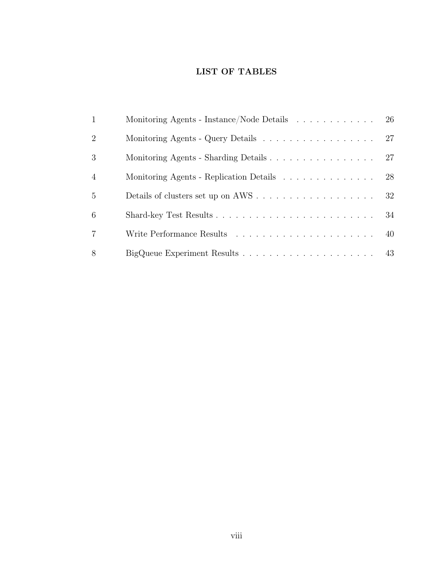# LIST OF TABLES

| $\mathbf{1}$   | Monitoring Agents - Instance/Node Details | 26 |
|----------------|-------------------------------------------|----|
| 2              |                                           | 27 |
| 3              |                                           | 27 |
| $\overline{4}$ | Monitoring Agents - Replication Details   | 28 |
| 5              |                                           | 32 |
| 6              |                                           | 34 |
| $\overline{7}$ |                                           | 40 |
| 8              |                                           |    |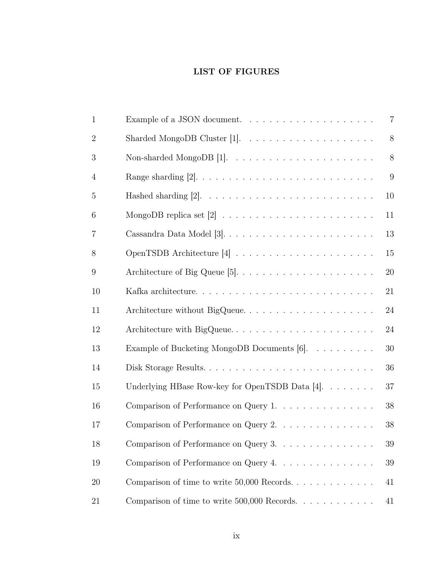# LIST OF FIGURES

| $\mathbf{1}$   |                                                                             | $\overline{7}$ |
|----------------|-----------------------------------------------------------------------------|----------------|
| $\overline{2}$ |                                                                             | 8              |
| 3              | Non-sharded MongoDB [1]. $\ldots \ldots \ldots \ldots \ldots \ldots \ldots$ | 8              |
| 4              |                                                                             | 9              |
| 5              |                                                                             | 10             |
| 6              |                                                                             | 11             |
| 7              |                                                                             | 13             |
| 8              |                                                                             | 15             |
| 9              |                                                                             | 20             |
| 10             |                                                                             | 21             |
| 11             | Architecture without BigQueue                                               | 24             |
| 12             | Architecture with BigQueue                                                  | 24             |
| 13             | Example of Bucketing MongoDB Documents [6].                                 | 30             |
| 14             |                                                                             | 36             |
| 15             | Underlying HBase Row-key for OpenTSDB Data $[4]$ .                          | 37             |
| 16             | Comparison of Performance on Query 1.                                       | 38             |
| 17             | Comparison of Performance on Query 2.                                       | 38             |
| 18             | Comparison of Performance on Query 3.                                       | 39             |
| 19             | Comparison of Performance on Query 4.                                       | 39             |
| 20             | Comparison of time to write $50,000$ Records                                | 41             |
| 21             | Comparison of time to write $500,000$ Records.                              | 41             |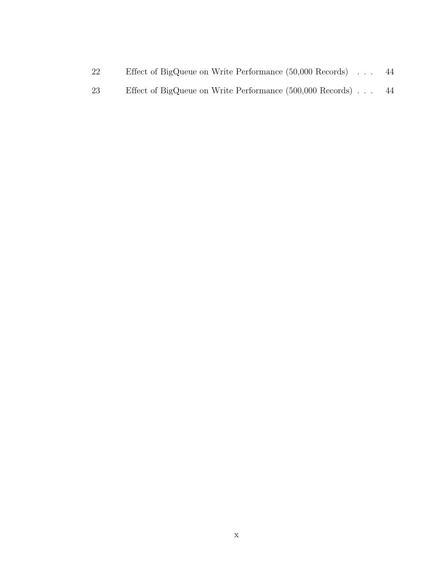| Effect of BigQueue on Write Performance (50,000 Records)<br>22 |  |  |  | 44 |
|----------------------------------------------------------------|--|--|--|----|
|----------------------------------------------------------------|--|--|--|----|

[23 Effect of BigQueue on Write Performance \(500,000 Records\)](#page-54-1) . . . 44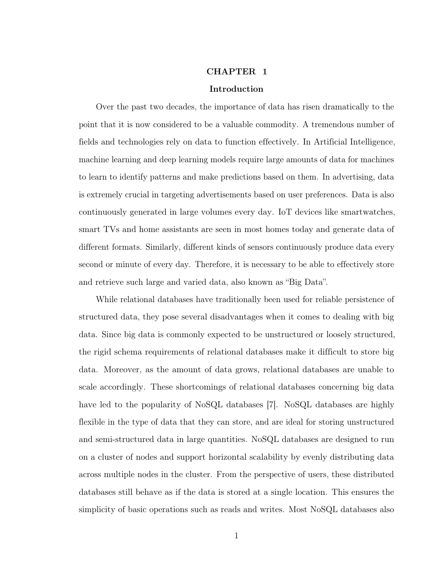#### CHAPTER 1

## Introduction

<span id="page-11-0"></span>Over the past two decades, the importance of data has risen dramatically to the point that it is now considered to be a valuable commodity. A tremendous number of fields and technologies rely on data to function effectively. In Artificial Intelligence, machine learning and deep learning models require large amounts of data for machines to learn to identify patterns and make predictions based on them. In advertising, data is extremely crucial in targeting advertisements based on user preferences. Data is also continuously generated in large volumes every day. IoT devices like smartwatches, smart TVs and home assistants are seen in most homes today and generate data of different formats. Similarly, different kinds of sensors continuously produce data every second or minute of every day. Therefore, it is necessary to be able to effectively store and retrieve such large and varied data, also known as "Big Data".

While relational databases have traditionally been used for reliable persistence of structured data, they pose several disadvantages when it comes to dealing with big data. Since big data is commonly expected to be unstructured or loosely structured, the rigid schema requirements of relational databases make it difficult to store big data. Moreover, as the amount of data grows, relational databases are unable to scale accordingly. These shortcomings of relational databases concerning big data have led to the popularity of NoSQL databases [\[7\]](#page-57-7). NoSQL databases are highly flexible in the type of data that they can store, and are ideal for storing unstructured and semi-structured data in large quantities. NoSQL databases are designed to run on a cluster of nodes and support horizontal scalability by evenly distributing data across multiple nodes in the cluster. From the perspective of users, these distributed databases still behave as if the data is stored at a single location. This ensures the simplicity of basic operations such as reads and writes. Most NoSQL databases also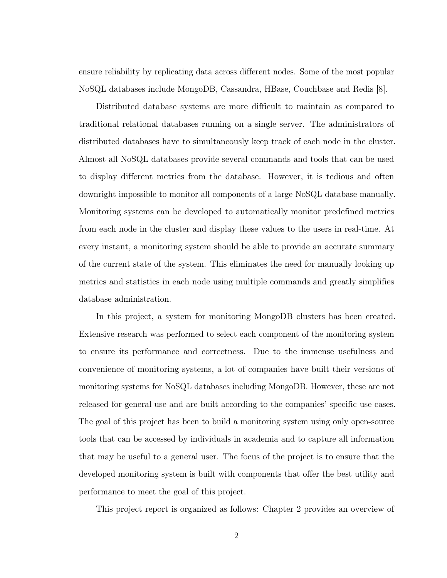ensure reliability by replicating data across different nodes. Some of the most popular NoSQL databases include MongoDB, Cassandra, HBase, Couchbase and Redis [\[8\]](#page-57-8).

Distributed database systems are more difficult to maintain as compared to traditional relational databases running on a single server. The administrators of distributed databases have to simultaneously keep track of each node in the cluster. Almost all NoSQL databases provide several commands and tools that can be used to display different metrics from the database. However, it is tedious and often downright impossible to monitor all components of a large NoSQL database manually. Monitoring systems can be developed to automatically monitor predefined metrics from each node in the cluster and display these values to the users in real-time. At every instant, a monitoring system should be able to provide an accurate summary of the current state of the system. This eliminates the need for manually looking up metrics and statistics in each node using multiple commands and greatly simplifies database administration.

In this project, a system for monitoring MongoDB clusters has been created. Extensive research was performed to select each component of the monitoring system to ensure its performance and correctness. Due to the immense usefulness and convenience of monitoring systems, a lot of companies have built their versions of monitoring systems for NoSQL databases including MongoDB. However, these are not released for general use and are built according to the companies' specific use cases. The goal of this project has been to build a monitoring system using only open-source tools that can be accessed by individuals in academia and to capture all information that may be useful to a general user. The focus of the project is to ensure that the developed monitoring system is built with components that offer the best utility and performance to meet the goal of this project.

This project report is organized as follows: Chapter 2 provides an overview of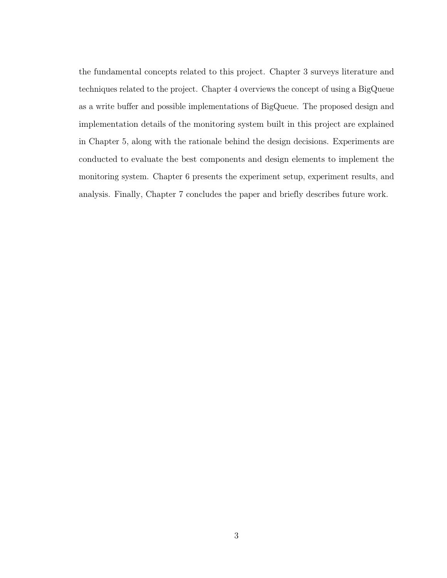the fundamental concepts related to this project. Chapter 3 surveys literature and techniques related to the project. Chapter 4 overviews the concept of using a BigQueue as a write buffer and possible implementations of BigQueue. The proposed design and implementation details of the monitoring system built in this project are explained in Chapter 5, along with the rationale behind the design decisions. Experiments are conducted to evaluate the best components and design elements to implement the monitoring system. Chapter 6 presents the experiment setup, experiment results, and analysis. Finally, Chapter 7 concludes the paper and briefly describes future work.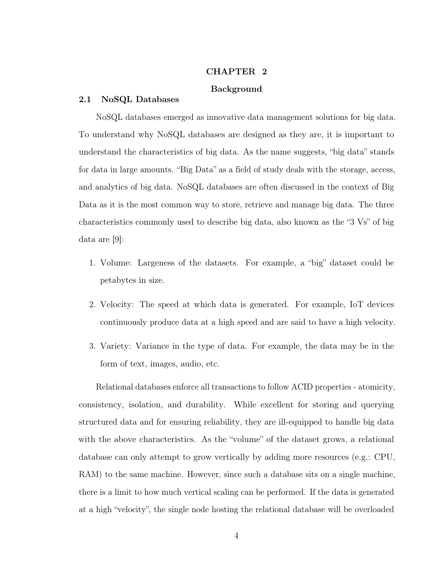#### CHAPTER 2

# Background

### <span id="page-14-1"></span><span id="page-14-0"></span>2.1 NoSQL Databases

NoSQL databases emerged as innovative data management solutions for big data. To understand why NoSQL databases are designed as they are, it is important to understand the characteristics of big data. As the name suggests, "big data" stands for data in large amounts. "Big Data" as a field of study deals with the storage, access, and analytics of big data. NoSQL databases are often discussed in the context of Big Data as it is the most common way to store, retrieve and manage big data. The three characteristics commonly used to describe big data, also known as the "3 Vs" of big data are [\[9\]](#page-57-9):

- 1. Volume: Largeness of the datasets. For example, a "big" dataset could be petabytes in size.
- 2. Velocity: The speed at which data is generated. For example, IoT devices continuously produce data at a high speed and are said to have a high velocity.
- 3. Variety: Variance in the type of data. For example, the data may be in the form of text, images, audio, etc.

Relational databases enforce all transactions to follow ACID properties - atomicity, consistency, isolation, and durability. While excellent for storing and querying structured data and for ensuring reliability, they are ill-equipped to handle big data with the above characteristics. As the "volume" of the dataset grows, a relational database can only attempt to grow vertically by adding more resources (e.g.: CPU, RAM) to the same machine. However, since such a database sits on a single machine, there is a limit to how much vertical scaling can be performed. If the data is generated at a high "velocity", the single node hosting the relational database will be overloaded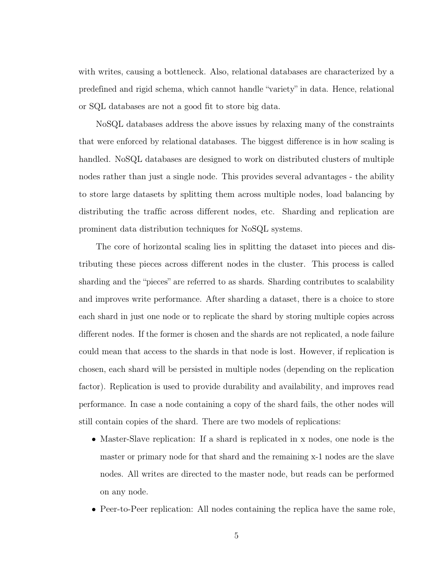with writes, causing a bottleneck. Also, relational databases are characterized by a predefined and rigid schema, which cannot handle "variety" in data. Hence, relational or SQL databases are not a good fit to store big data.

NoSQL databases address the above issues by relaxing many of the constraints that were enforced by relational databases. The biggest difference is in how scaling is handled. NoSQL databases are designed to work on distributed clusters of multiple nodes rather than just a single node. This provides several advantages - the ability to store large datasets by splitting them across multiple nodes, load balancing by distributing the traffic across different nodes, etc. Sharding and replication are prominent data distribution techniques for NoSQL systems.

The core of horizontal scaling lies in splitting the dataset into pieces and distributing these pieces across different nodes in the cluster. This process is called sharding and the "pieces" are referred to as shards. Sharding contributes to scalability and improves write performance. After sharding a dataset, there is a choice to store each shard in just one node or to replicate the shard by storing multiple copies across different nodes. If the former is chosen and the shards are not replicated, a node failure could mean that access to the shards in that node is lost. However, if replication is chosen, each shard will be persisted in multiple nodes (depending on the replication factor). Replication is used to provide durability and availability, and improves read performance. In case a node containing a copy of the shard fails, the other nodes will still contain copies of the shard. There are two models of replications:

- Master-Slave replication: If a shard is replicated in x nodes, one node is the master or primary node for that shard and the remaining x-1 nodes are the slave nodes. All writes are directed to the master node, but reads can be performed on any node.
- Peer-to-Peer replication: All nodes containing the replica have the same role,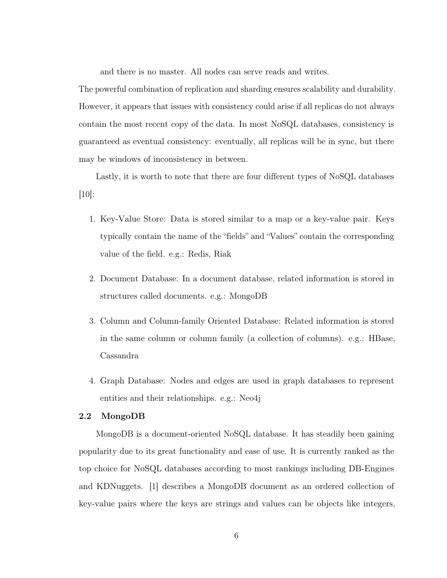and there is no master. All nodes can serve reads and writes.

The powerful combination of replication and sharding ensures scalability and durability. However, it appears that issues with consistency could arise if all replicas do not always contain the most recent copy of the data. In most NoSQL databases, consistency is guaranteed as eventual consistency: eventually, all replicas will be in sync, but there may be windows of inconsistency in between.

Lastly, it is worth to note that there are four different types of NoSQL databases [\[10\]](#page-57-10):

- 1. Key-Value Store: Data is stored similar to a map or a key-value pair. Keys typically contain the name of the "fields" and "Values" contain the corresponding value of the field. e.g.: Redis, Riak
- 2. Document Database: In a document database, related information is stored in structures called documents. e.g.: MongoDB
- 3. Column and Column-family Oriented Database: Related information is stored in the same column or column family (a collection of columns). e.g.: HBase, Cassandra
- 4. Graph Database: Nodes and edges are used in graph databases to represent entities and their relationships. e.g.: Neo4j

#### <span id="page-16-0"></span>2.2 MongoDB

MongoDB is a document-oriented NoSQL database. It has steadily been gaining popularity due to its great functionality and ease of use. It is currently ranked as the top choice for NoSQL databases according to most rankings including DB-Engines and KDNuggets. [\[1\]](#page-57-1) describes a MongoDB document as an ordered collection of key-value pairs where the keys are strings and values can be objects like integers,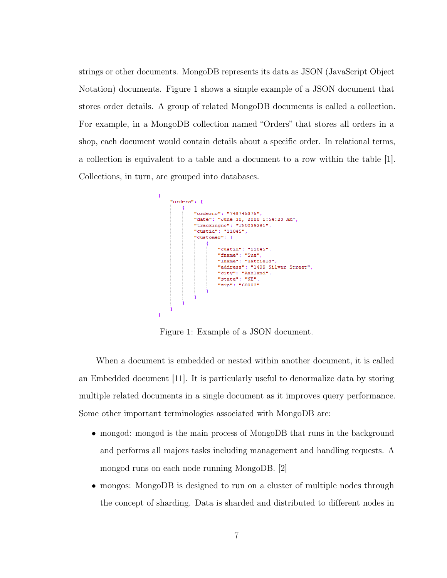strings or other documents. MongoDB represents its data as JSON (JavaScript Object Notation) documents. Figure [1](#page-17-0) shows a simple example of a JSON document that stores order details. A group of related MongoDB documents is called a collection. For example, in a MongoDB collection named "Orders" that stores all orders in a shop, each document would contain details about a specific order. In relational terms, a collection is equivalent to a table and a document to a row within the table [\[1\]](#page-57-1). Collections, in turn, are grouped into databases.

<span id="page-17-0"></span>

Figure 1: Example of a JSON document.

When a document is embedded or nested within another document, it is called an Embedded document [\[11\]](#page-57-11). It is particularly useful to denormalize data by storing multiple related documents in a single document as it improves query performance. Some other important terminologies associated with MongoDB are:

- mongod: mongod is the main process of MongoDB that runs in the background and performs all majors tasks including management and handling requests. A mongod runs on each node running MongoDB. [\[2\]](#page-57-2)
- mongos: MongoDB is designed to run on a cluster of multiple nodes through the concept of sharding. Data is sharded and distributed to different nodes in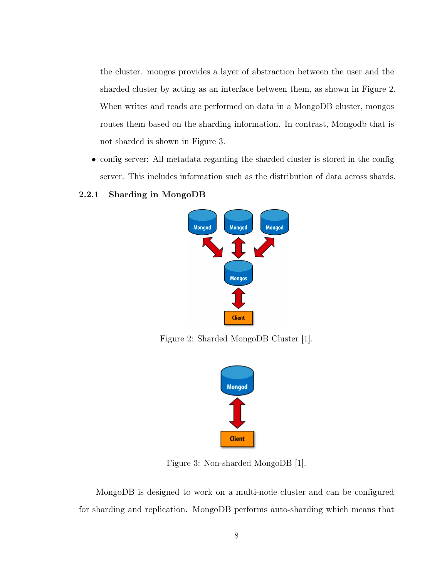the cluster. mongos provides a layer of abstraction between the user and the sharded cluster by acting as an interface between them, as shown in Figure [2.](#page-18-1) When writes and reads are performed on data in a MongoDB cluster, mongos routes them based on the sharding information. In contrast, Mongodb that is not sharded is shown in Figure [3.](#page-18-2)

• config server: All metadata regarding the sharded cluster is stored in the config server. This includes information such as the distribution of data across shards.

# <span id="page-18-1"></span><span id="page-18-0"></span>2.2.1 Sharding in MongoDB



<span id="page-18-2"></span>Figure 2: Sharded MongoDB Cluster [\[1\]](#page-57-1).



Figure 3: Non-sharded MongoDB [\[1\]](#page-57-1).

MongoDB is designed to work on a multi-node cluster and can be configured for sharding and replication. MongoDB performs auto-sharding which means that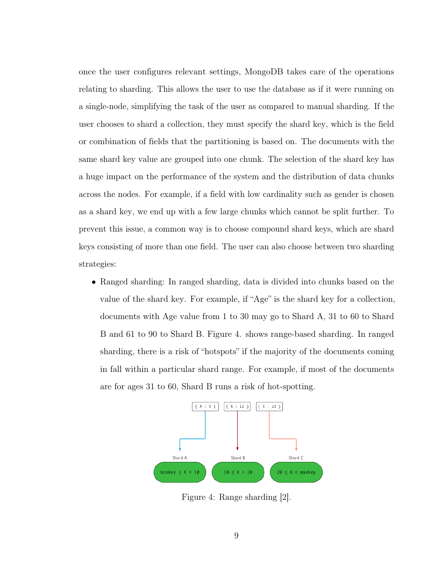once the user configures relevant settings, MongoDB takes care of the operations relating to sharding. This allows the user to use the database as if it were running on a single-node, simplifying the task of the user as compared to manual sharding. If the user chooses to shard a collection, they must specify the shard key, which is the field or combination of fields that the partitioning is based on. The documents with the same shard key value are grouped into one chunk. The selection of the shard key has a huge impact on the performance of the system and the distribution of data chunks across the nodes. For example, if a field with low cardinality such as gender is chosen as a shard key, we end up with a few large chunks which cannot be split further. To prevent this issue, a common way is to choose compound shard keys, which are shard keys consisting of more than one field. The user can also choose between two sharding strategies:

• Ranged sharding: In ranged sharding, data is divided into chunks based on the value of the shard key. For example, if "Age" is the shard key for a collection, documents with Age value from 1 to 30 may go to Shard A, 31 to 60 to Shard B and 61 to 90 to Shard B. Figure [4.](#page-19-0) shows range-based sharding. In ranged sharding, there is a risk of "hotspots" if the majority of the documents coming in fall within a particular shard range. For example, if most of the documents are for ages 31 to 60, Shard B runs a risk of hot-spotting.

<span id="page-19-0"></span>

Figure 4: Range sharding [\[2\]](#page-57-2).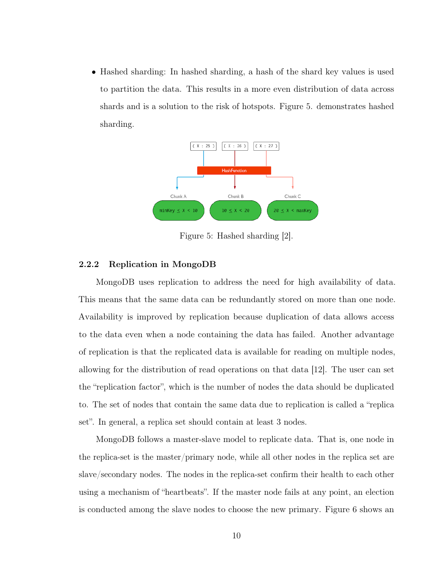• Hashed sharding: In hashed sharding, a hash of the shard key values is used to partition the data. This results in a more even distribution of data across shards and is a solution to the risk of hotspots. Figure [5.](#page-20-1) demonstrates hashed sharding.

<span id="page-20-1"></span>

Figure 5: Hashed sharding [\[2\]](#page-57-2).

# <span id="page-20-0"></span>2.2.2 Replication in MongoDB

MongoDB uses replication to address the need for high availability of data. This means that the same data can be redundantly stored on more than one node. Availability is improved by replication because duplication of data allows access to the data even when a node containing the data has failed. Another advantage of replication is that the replicated data is available for reading on multiple nodes, allowing for the distribution of read operations on that data [\[12\]](#page-57-12). The user can set the "replication factor", which is the number of nodes the data should be duplicated to. The set of nodes that contain the same data due to replication is called a "replica set". In general, a replica set should contain at least 3 nodes.

MongoDB follows a master-slave model to replicate data. That is, one node in the replica-set is the master/primary node, while all other nodes in the replica set are slave/secondary nodes. The nodes in the replica-set confirm their health to each other using a mechanism of "heartbeats". If the master node fails at any point, an election is conducted among the slave nodes to choose the new primary. Figure [6](#page-21-1) shows an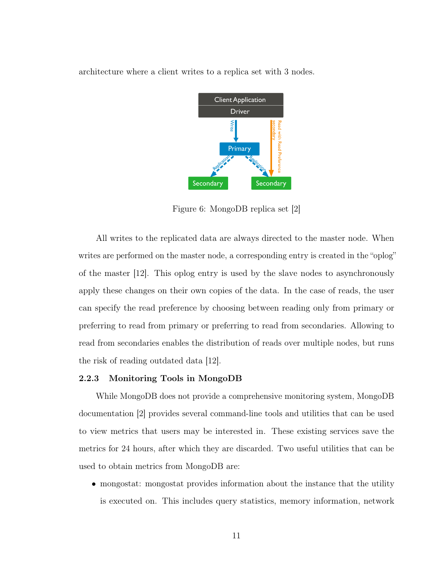<span id="page-21-1"></span>architecture where a client writes to a replica set with 3 nodes.



Figure 6: MongoDB replica set [\[2\]](#page-57-2)

All writes to the replicated data are always directed to the master node. When writes are performed on the master node, a corresponding entry is created in the "oplog" of the master [\[12\]](#page-57-12). This oplog entry is used by the slave nodes to asynchronously apply these changes on their own copies of the data. In the case of reads, the user can specify the read preference by choosing between reading only from primary or preferring to read from primary or preferring to read from secondaries. Allowing to read from secondaries enables the distribution of reads over multiple nodes, but runs the risk of reading outdated data [\[12\]](#page-57-12).

#### <span id="page-21-0"></span>2.2.3 Monitoring Tools in MongoDB

While MongoDB does not provide a comprehensive monitoring system, MongoDB documentation [\[2\]](#page-57-2) provides several command-line tools and utilities that can be used to view metrics that users may be interested in. These existing services save the metrics for 24 hours, after which they are discarded. Two useful utilities that can be used to obtain metrics from MongoDB are:

• mongostat: mongostat provides information about the instance that the utility is executed on. This includes query statistics, memory information, network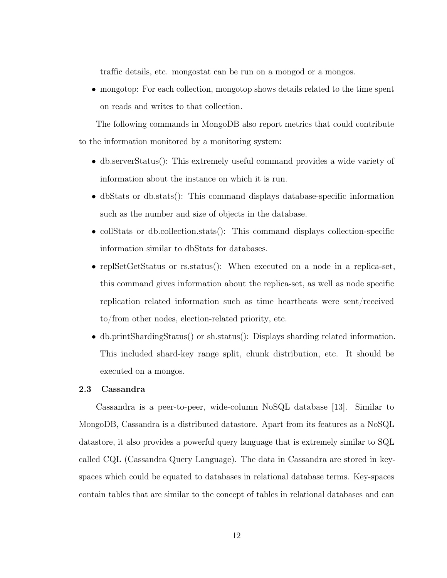traffic details, etc. mongostat can be run on a mongod or a mongos.

• mongotop: For each collection, mongotop shows details related to the time spent on reads and writes to that collection.

The following commands in MongoDB also report metrics that could contribute to the information monitored by a monitoring system:

- db.serverStatus(): This extremely useful command provides a wide variety of information about the instance on which it is run.
- dbStats or db.stats(): This command displays database-specific information such as the number and size of objects in the database.
- collStats or db.collection.stats(): This command displays collection-specific information similar to dbStats for databases.
- replSetGetStatus or rs.status(): When executed on a node in a replica-set, this command gives information about the replica-set, as well as node specific replication related information such as time heartbeats were sent/received to/from other nodes, election-related priority, etc.
- db.printShardingStatus() or sh.status(): Displays sharding related information. This included shard-key range split, chunk distribution, etc. It should be executed on a mongos.

#### <span id="page-22-0"></span>2.3 Cassandra

Cassandra is a peer-to-peer, wide-column NoSQL database [\[13\]](#page-57-13). Similar to MongoDB, Cassandra is a distributed datastore. Apart from its features as a NoSQL datastore, it also provides a powerful query language that is extremely similar to SQL called CQL (Cassandra Query Language). The data in Cassandra are stored in keyspaces which could be equated to databases in relational database terms. Key-spaces contain tables that are similar to the concept of tables in relational databases and can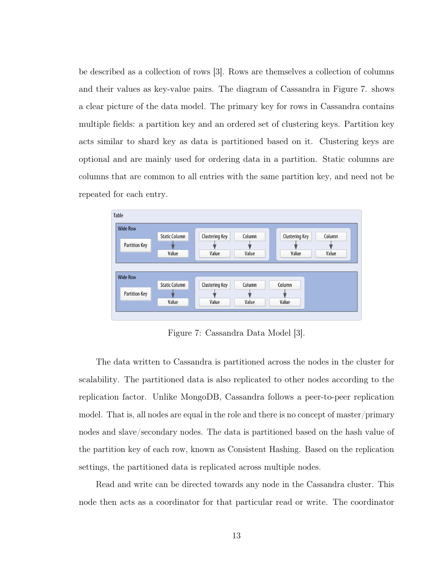be described as a collection of rows [\[3\]](#page-57-3). Rows are themselves a collection of columns and their values as key-value pairs. The diagram of Cassandra in Figure [7.](#page-23-0) shows a clear picture of the data model. The primary key for rows in Cassandra contains multiple fields: a partition key and an ordered set of clustering keys. Partition key acts similar to shard key as data is partitioned based on it. Clustering keys are optional and are mainly used for ordering data in a partition. Static columns are columns that are common to all entries with the same partition key, and need not be repeated for each entry.

<span id="page-23-0"></span>

| Table                |                      |                       |        |        |                       |        |  |
|----------------------|----------------------|-----------------------|--------|--------|-----------------------|--------|--|
| <b>Wide Row</b>      |                      |                       |        |        |                       |        |  |
|                      | <b>Static Column</b> | Clustering Key        | Column |        | <b>Clustering Key</b> | Column |  |
| <b>Partition Key</b> |                      |                       |        |        |                       |        |  |
|                      | Value                | Value                 | Value  |        | Value                 | Value  |  |
|                      |                      |                       |        |        |                       |        |  |
|                      |                      |                       |        |        |                       |        |  |
|                      |                      |                       |        |        |                       |        |  |
| <b>Wide Row</b>      |                      |                       |        |        |                       |        |  |
|                      | <b>Static Column</b> | <b>Clustering Key</b> | Column | Column |                       |        |  |
| <b>Partition Key</b> |                      |                       |        |        |                       |        |  |
|                      | Value                | Value                 | Value  | Value  |                       |        |  |

Figure 7: Cassandra Data Model [\[3\]](#page-57-3).

The data written to Cassandra is partitioned across the nodes in the cluster for scalability. The partitioned data is also replicated to other nodes according to the replication factor. Unlike MongoDB, Cassandra follows a peer-to-peer replication model. That is, all nodes are equal in the role and there is no concept of master/primary nodes and slave/secondary nodes. The data is partitioned based on the hash value of the partition key of each row, known as Consistent Hashing. Based on the replication settings, the partitioned data is replicated across multiple nodes.

Read and write can be directed towards any node in the Cassandra cluster. This node then acts as a coordinator for that particular read or write. The coordinator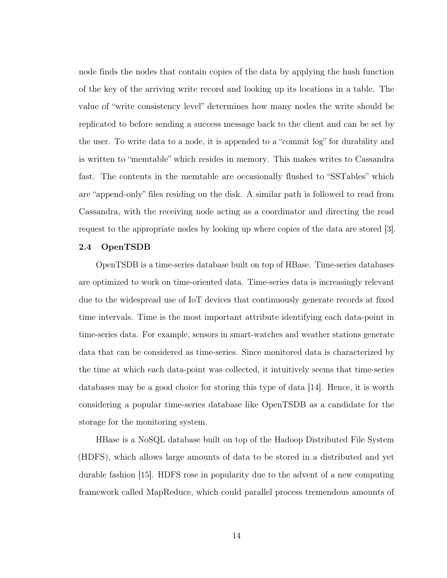node finds the nodes that contain copies of the data by applying the hash function of the key of the arriving write record and looking up its locations in a table. The value of "write consistency level" determines how many nodes the write should be replicated to before sending a success message back to the client and can be set by the user. To write data to a node, it is appended to a "commit log" for durability and is written to "memtable" which resides in memory. This makes writes to Cassandra fast. The contents in the memtable are occasionally flushed to "SSTables" which are "append-only" files residing on the disk. A similar path is followed to read from Cassandra, with the receiving node acting as a coordinator and directing the read request to the appropriate nodes by looking up where copies of the data are stored [\[3\]](#page-57-3).

#### <span id="page-24-0"></span>2.4 OpenTSDB

OpenTSDB is a time-series database built on top of HBase. Time-series databases are optimized to work on time-oriented data. Time-series data is increasingly relevant due to the widespread use of IoT devices that continuously generate records at fixed time intervals. Time is the most important attribute identifying each data-point in time-series data. For example, sensors in smart-watches and weather stations generate data that can be considered as time-series. Since monitored data is characterized by the time at which each data-point was collected, it intuitively seems that time-series databases may be a good choice for storing this type of data [\[14\]](#page-57-14). Hence, it is worth considering a popular time-series database like OpenTSDB as a candidate for the storage for the monitoring system.

HBase is a NoSQL database built on top of the Hadoop Distributed File System (HDFS), which allows large amounts of data to be stored in a distributed and yet durable fashion [\[15\]](#page-58-0). HDFS rose in popularity due to the advent of a new computing framework called MapReduce, which could parallel process tremendous amounts of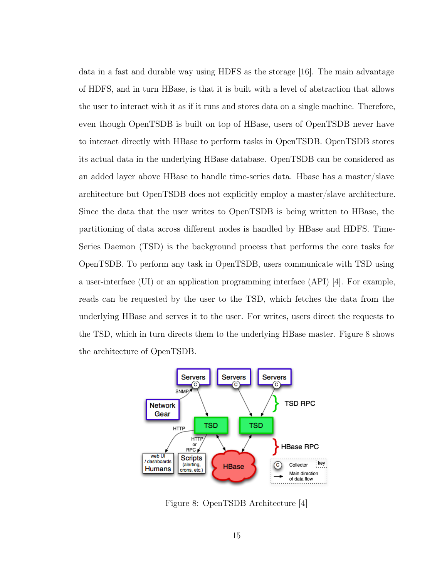data in a fast and durable way using HDFS as the storage [\[16\]](#page-58-1). The main advantage of HDFS, and in turn HBase, is that it is built with a level of abstraction that allows the user to interact with it as if it runs and stores data on a single machine. Therefore, even though OpenTSDB is built on top of HBase, users of OpenTSDB never have to interact directly with HBase to perform tasks in OpenTSDB. OpenTSDB stores its actual data in the underlying HBase database. OpenTSDB can be considered as an added layer above HBase to handle time-series data. Hbase has a master/slave architecture but OpenTSDB does not explicitly employ a master/slave architecture. Since the data that the user writes to OpenTSDB is being written to HBase, the partitioning of data across different nodes is handled by HBase and HDFS. Time-Series Daemon (TSD) is the background process that performs the core tasks for OpenTSDB. To perform any task in OpenTSDB, users communicate with TSD using a user-interface (UI) or an application programming interface (API) [\[4\]](#page-57-4). For example, reads can be requested by the user to the TSD, which fetches the data from the underlying HBase and serves it to the user. For writes, users direct the requests to the TSD, which in turn directs them to the underlying HBase master. Figure [8](#page-25-0) shows the architecture of OpenTSDB.

<span id="page-25-0"></span>

Figure 8: OpenTSDB Architecture [\[4\]](#page-57-4)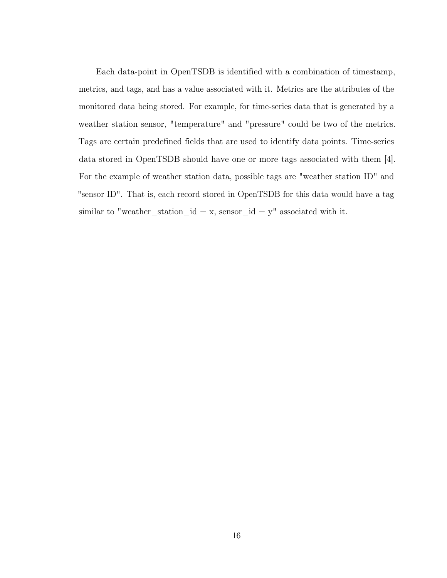Each data-point in OpenTSDB is identified with a combination of timestamp, metrics, and tags, and has a value associated with it. Metrics are the attributes of the monitored data being stored. For example, for time-series data that is generated by a weather station sensor, "temperature" and "pressure" could be two of the metrics. Tags are certain predefined fields that are used to identify data points. Time-series data stored in OpenTSDB should have one or more tags associated with them [\[4\]](#page-57-4). For the example of weather station data, possible tags are "weather station ID" and "sensor ID". That is, each record stored in OpenTSDB for this data would have a tag similar to "weather\_station\_id = x, sensor\_id =  $y$ " associated with it.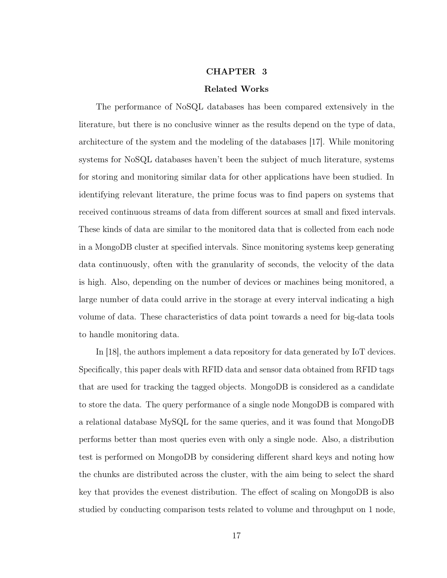## CHAPTER 3

#### Related Works

<span id="page-27-0"></span>The performance of NoSQL databases has been compared extensively in the literature, but there is no conclusive winner as the results depend on the type of data, architecture of the system and the modeling of the databases [\[17\]](#page-58-2). While monitoring systems for NoSQL databases haven't been the subject of much literature, systems for storing and monitoring similar data for other applications have been studied. In identifying relevant literature, the prime focus was to find papers on systems that received continuous streams of data from different sources at small and fixed intervals. These kinds of data are similar to the monitored data that is collected from each node in a MongoDB cluster at specified intervals. Since monitoring systems keep generating data continuously, often with the granularity of seconds, the velocity of the data is high. Also, depending on the number of devices or machines being monitored, a large number of data could arrive in the storage at every interval indicating a high volume of data. These characteristics of data point towards a need for big-data tools to handle monitoring data.

In [\[18\]](#page-58-3), the authors implement a data repository for data generated by IoT devices. Specifically, this paper deals with RFID data and sensor data obtained from RFID tags that are used for tracking the tagged objects. MongoDB is considered as a candidate to store the data. The query performance of a single node MongoDB is compared with a relational database MySQL for the same queries, and it was found that MongoDB performs better than most queries even with only a single node. Also, a distribution test is performed on MongoDB by considering different shard keys and noting how the chunks are distributed across the cluster, with the aim being to select the shard key that provides the evenest distribution. The effect of scaling on MongoDB is also studied by conducting comparison tests related to volume and throughput on 1 node,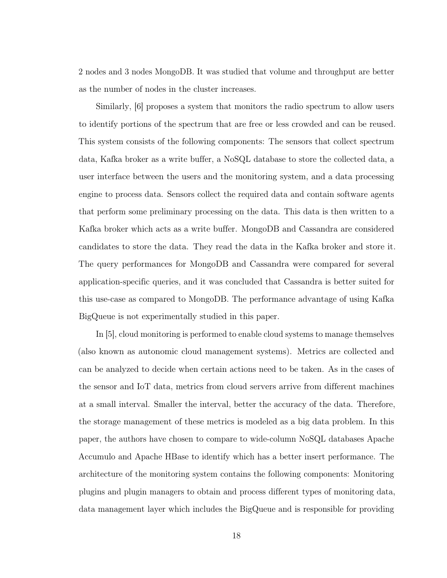2 nodes and 3 nodes MongoDB. It was studied that volume and throughput are better as the number of nodes in the cluster increases.

Similarly, [\[6\]](#page-57-6) proposes a system that monitors the radio spectrum to allow users to identify portions of the spectrum that are free or less crowded and can be reused. This system consists of the following components: The sensors that collect spectrum data, Kafka broker as a write buffer, a NoSQL database to store the collected data, a user interface between the users and the monitoring system, and a data processing engine to process data. Sensors collect the required data and contain software agents that perform some preliminary processing on the data. This data is then written to a Kafka broker which acts as a write buffer. MongoDB and Cassandra are considered candidates to store the data. They read the data in the Kafka broker and store it. The query performances for MongoDB and Cassandra were compared for several application-specific queries, and it was concluded that Cassandra is better suited for this use-case as compared to MongoDB. The performance advantage of using Kafka BigQueue is not experimentally studied in this paper.

In [\[5\]](#page-57-5), cloud monitoring is performed to enable cloud systems to manage themselves (also known as autonomic cloud management systems). Metrics are collected and can be analyzed to decide when certain actions need to be taken. As in the cases of the sensor and IoT data, metrics from cloud servers arrive from different machines at a small interval. Smaller the interval, better the accuracy of the data. Therefore, the storage management of these metrics is modeled as a big data problem. In this paper, the authors have chosen to compare to wide-column NoSQL databases Apache Accumulo and Apache HBase to identify which has a better insert performance. The architecture of the monitoring system contains the following components: Monitoring plugins and plugin managers to obtain and process different types of monitoring data, data management layer which includes the BigQueue and is responsible for providing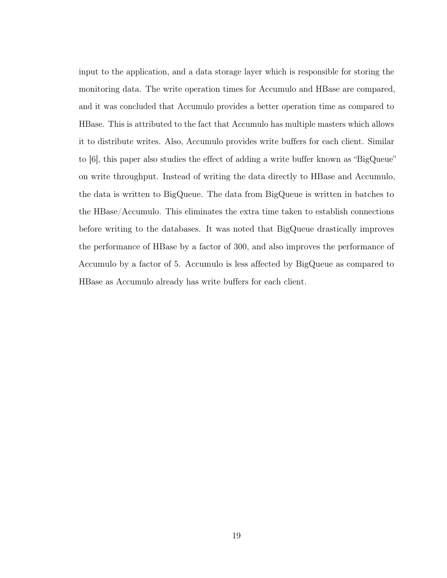input to the application, and a data storage layer which is responsible for storing the monitoring data. The write operation times for Accumulo and HBase are compared, and it was concluded that Accumulo provides a better operation time as compared to HBase. This is attributed to the fact that Accumulo has multiple masters which allows it to distribute writes. Also, Accumulo provides write buffers for each client. Similar to [\[6\]](#page-57-6), this paper also studies the effect of adding a write buffer known as "BigQueue" on write throughput. Instead of writing the data directly to HBase and Accumulo, the data is written to BigQueue. The data from BigQueue is written in batches to the HBase/Accumulo. This eliminates the extra time taken to establish connections before writing to the databases. It was noted that BigQueue drastically improves the performance of HBase by a factor of 300, and also improves the performance of Accumulo by a factor of 5. Accumulo is less affected by BigQueue as compared to HBase as Accumulo already has write buffers for each client.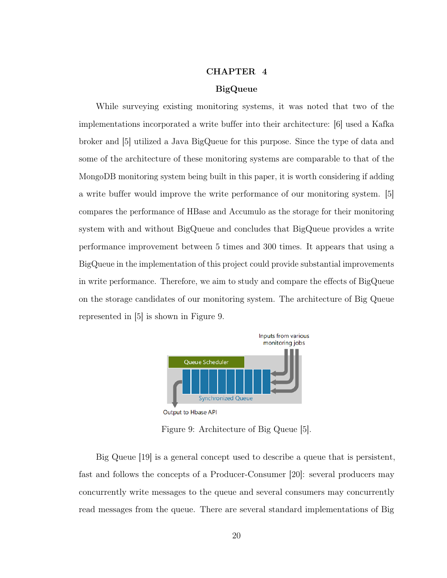# CHAPTER 4

## BigQueue

<span id="page-30-0"></span>While surveying existing monitoring systems, it was noted that two of the implementations incorporated a write buffer into their architecture: [\[6\]](#page-57-6) used a Kafka broker and [\[5\]](#page-57-5) utilized a Java BigQueue for this purpose. Since the type of data and some of the architecture of these monitoring systems are comparable to that of the MongoDB monitoring system being built in this paper, it is worth considering if adding a write buffer would improve the write performance of our monitoring system. [\[5\]](#page-57-5) compares the performance of HBase and Accumulo as the storage for their monitoring system with and without BigQueue and concludes that BigQueue provides a write performance improvement between 5 times and 300 times. It appears that using a BigQueue in the implementation of this project could provide substantial improvements in write performance. Therefore, we aim to study and compare the effects of BigQueue on the storage candidates of our monitoring system. The architecture of Big Queue represented in [\[5\]](#page-57-5) is shown in Figure [9.](#page-30-1)

<span id="page-30-1"></span>

Output to Hbase API

Figure 9: Architecture of Big Queue [\[5\]](#page-57-5).

Big Queue [\[19\]](#page-58-4) is a general concept used to describe a queue that is persistent, fast and follows the concepts of a Producer-Consumer [\[20\]](#page-58-5): several producers may concurrently write messages to the queue and several consumers may concurrently read messages from the queue. There are several standard implementations of Big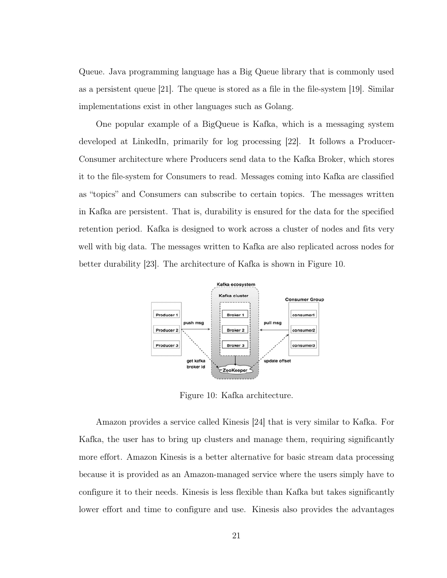Queue. Java programming language has a Big Queue library that is commonly used as a persistent queue [\[21\]](#page-58-6). The queue is stored as a file in the file-system [\[19\]](#page-58-4). Similar implementations exist in other languages such as Golang.

One popular example of a BigQueue is Kafka, which is a messaging system developed at LinkedIn, primarily for log processing [\[22\]](#page-58-7). It follows a Producer-Consumer architecture where Producers send data to the Kafka Broker, which stores it to the file-system for Consumers to read. Messages coming into Kafka are classified as "topics" and Consumers can subscribe to certain topics. The messages written in Kafka are persistent. That is, durability is ensured for the data for the specified retention period. Kafka is designed to work across a cluster of nodes and fits very well with big data. The messages written to Kafka are also replicated across nodes for better durability [\[23\]](#page-58-8). The architecture of Kafka is shown in Figure [10.](#page-31-0)

<span id="page-31-0"></span>

Figure 10: Kafka architecture.

Amazon provides a service called Kinesis [\[24\]](#page-58-9) that is very similar to Kafka. For Kafka, the user has to bring up clusters and manage them, requiring significantly more effort. Amazon Kinesis is a better alternative for basic stream data processing because it is provided as an Amazon-managed service where the users simply have to configure it to their needs. Kinesis is less flexible than Kafka but takes significantly lower effort and time to configure and use. Kinesis also provides the advantages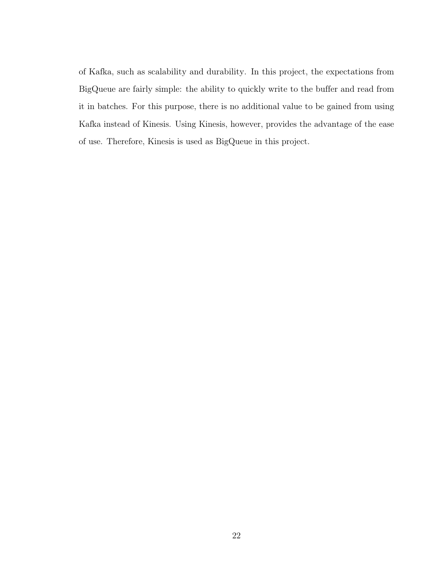of Kafka, such as scalability and durability. In this project, the expectations from BigQueue are fairly simple: the ability to quickly write to the buffer and read from it in batches. For this purpose, there is no additional value to be gained from using Kafka instead of Kinesis. Using Kinesis, however, provides the advantage of the ease of use. Therefore, Kinesis is used as BigQueue in this project.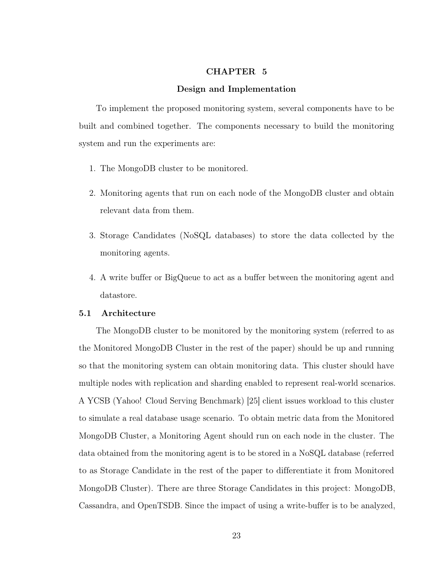# CHAPTER 5

#### Design and Implementation

<span id="page-33-0"></span>To implement the proposed monitoring system, several components have to be built and combined together. The components necessary to build the monitoring system and run the experiments are:

- 1. The MongoDB cluster to be monitored.
- 2. Monitoring agents that run on each node of the MongoDB cluster and obtain relevant data from them.
- 3. Storage Candidates (NoSQL databases) to store the data collected by the monitoring agents.
- 4. A write buffer or BigQueue to act as a buffer between the monitoring agent and datastore.

# <span id="page-33-1"></span>5.1 Architecture

The MongoDB cluster to be monitored by the monitoring system (referred to as the Monitored MongoDB Cluster in the rest of the paper) should be up and running so that the monitoring system can obtain monitoring data. This cluster should have multiple nodes with replication and sharding enabled to represent real-world scenarios. A YCSB (Yahoo! Cloud Serving Benchmark) [\[25\]](#page-58-10) client issues workload to this cluster to simulate a real database usage scenario. To obtain metric data from the Monitored MongoDB Cluster, a Monitoring Agent should run on each node in the cluster. The data obtained from the monitoring agent is to be stored in a NoSQL database (referred to as Storage Candidate in the rest of the paper to differentiate it from Monitored MongoDB Cluster). There are three Storage Candidates in this project: MongoDB, Cassandra, and OpenTSDB. Since the impact of using a write-buffer is to be analyzed,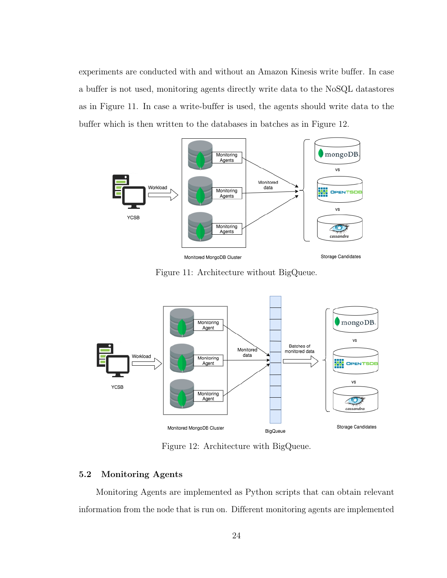experiments are conducted with and without an Amazon Kinesis write buffer. In case a buffer is not used, monitoring agents directly write data to the NoSQL datastores as in Figure [11.](#page-34-1) In case a write-buffer is used, the agents should write data to the buffer which is then written to the databases in batches as in Figure [12.](#page-34-2)

<span id="page-34-1"></span>

Figure 11: Architecture without BigQueue.

<span id="page-34-2"></span>

Figure 12: Architecture with BigQueue.

# <span id="page-34-0"></span>5.2 Monitoring Agents

Monitoring Agents are implemented as Python scripts that can obtain relevant information from the node that is run on. Different monitoring agents are implemented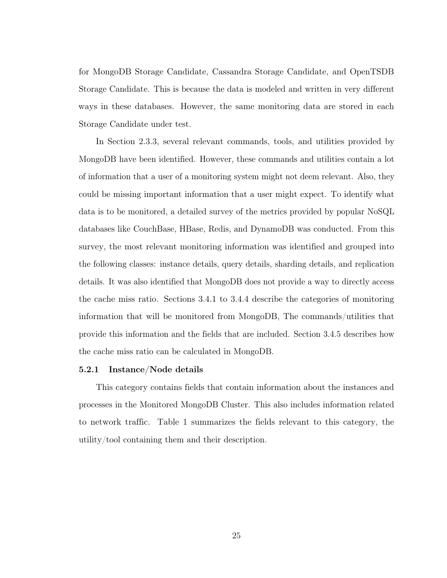for MongoDB Storage Candidate, Cassandra Storage Candidate, and OpenTSDB Storage Candidate. This is because the data is modeled and written in very different ways in these databases. However, the same monitoring data are stored in each Storage Candidate under test.

In Section 2.3.3, several relevant commands, tools, and utilities provided by MongoDB have been identified. However, these commands and utilities contain a lot of information that a user of a monitoring system might not deem relevant. Also, they could be missing important information that a user might expect. To identify what data is to be monitored, a detailed survey of the metrics provided by popular NoSQL databases like CouchBase, HBase, Redis, and DynamoDB was conducted. From this survey, the most relevant monitoring information was identified and grouped into the following classes: instance details, query details, sharding details, and replication details. It was also identified that MongoDB does not provide a way to directly access the cache miss ratio. Sections 3.4.1 to 3.4.4 describe the categories of monitoring information that will be monitored from MongoDB, The commands/utilities that provide this information and the fields that are included. Section 3.4.5 describes how the cache miss ratio can be calculated in MongoDB.

#### <span id="page-35-0"></span>5.2.1 Instance/Node details

This category contains fields that contain information about the instances and processes in the Monitored MongoDB Cluster. This also includes information related to network traffic. Table [1](#page-36-1) summarizes the fields relevant to this category, the utility/tool containing them and their description.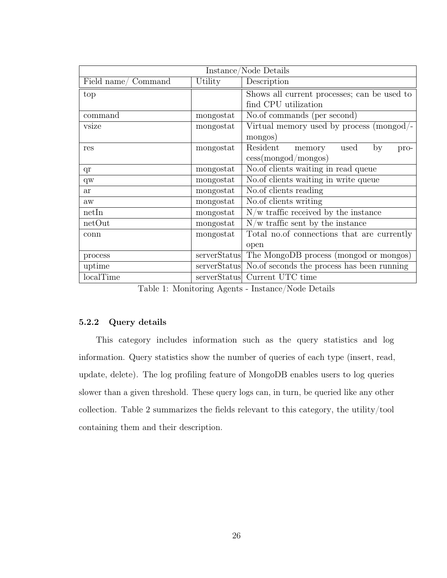<span id="page-36-1"></span>

| Instance/Node Details |              |                                                          |  |  |
|-----------------------|--------------|----------------------------------------------------------|--|--|
| Field name/ Command   | Utility      | Description                                              |  |  |
| top                   |              | Shows all current processes; can be used to              |  |  |
| find CPU utilization  |              |                                                          |  |  |
| command               | mongostat    | No.of commands (per second)                              |  |  |
| vsize                 | mongostat    | Virtual memory used by process (mongod/-                 |  |  |
|                       |              | mongos)                                                  |  |  |
| res                   | mongostat    | Resident<br>by<br>used<br>memory<br>pro-                 |  |  |
|                       |              | $\cos(mongod/mongos)$                                    |  |  |
| qr                    | mongostat    | No. of clients waiting in read queue                     |  |  |
| $q_{W}$               | mongostat    | No. of clients waiting in write queue                    |  |  |
| <b>ar</b>             | mongostat    | No.of clients reading                                    |  |  |
| aw                    | mongostat    | No.of clients writing                                    |  |  |
| netIn                 | mongostat    | $N/w$ traffic received by the instance                   |  |  |
| netOut                | mongostat    | $N/w$ traffic sent by the instance                       |  |  |
| conn                  | mongostat    | Total no.of connections that are currently               |  |  |
|                       |              | open                                                     |  |  |
| process               | serverStatus | The MongoDB process (mongod or mongos)                   |  |  |
| uptime                |              | serverStatus No. of seconds the process has been running |  |  |
| localTime             |              | serverStatus Current UTC time                            |  |  |

Table 1: Monitoring Agents - Instance/Node Details

# <span id="page-36-0"></span>5.2.2 Query details

This category includes information such as the query statistics and log information. Query statistics show the number of queries of each type (insert, read, update, delete). The log profiling feature of MongoDB enables users to log queries slower than a given threshold. These query logs can, in turn, be queried like any other collection. Table [2](#page-37-1) summarizes the fields relevant to this category, the utility/tool containing them and their description.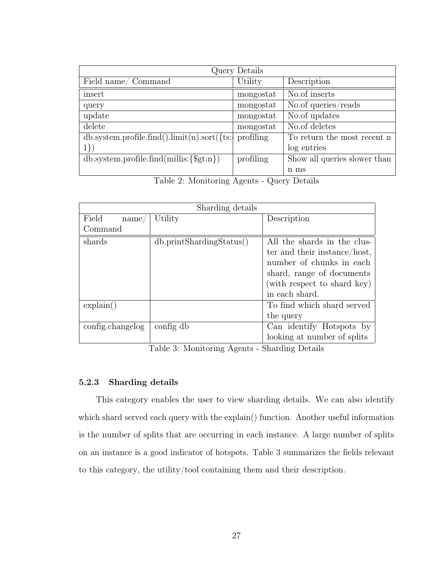<span id="page-37-1"></span>

| Query Details                                             |           |                              |  |
|-----------------------------------------------------------|-----------|------------------------------|--|
| Field name/ Command                                       | Utility   | Description                  |  |
| insert                                                    | mongostat | No.of inserts                |  |
| query                                                     | mongostat | No.of queries/reads          |  |
| update                                                    | mongostat | No.of updates                |  |
| delete                                                    | mongostat | No.of deletes                |  |
| $db.system.profile.find().limit(n).sort({t:+ profiling})$ |           | To return the most recent n  |  |
| $1\})$                                                    |           | log entries                  |  |
| $db.system.profile.find(millis:\$                         | profiling | Show all queries slower than |  |
|                                                           |           | n ms                         |  |

Table 2: Monitoring Agents - Query Details

<span id="page-37-2"></span>

|                    | Sharding details          |                              |
|--------------------|---------------------------|------------------------------|
| Field<br>name/     | Utility                   | Description                  |
| Command            |                           |                              |
| shards             | db.printSharding Status() | All the shards in the clus-  |
|                    |                           | ter and their instance/host, |
|                    |                           | number of chunks in each     |
|                    |                           | shard, range of documents    |
|                    |                           | (with respect to shard key)  |
|                    |                           | in each shard.               |
| $\exp(\text{ain})$ |                           | To find which shard served   |
|                    |                           | the query                    |
| config.changelog   | config db                 | Can identify Hotspots by     |
|                    |                           | looking at number of splits  |

Table 3: Monitoring Agents - Sharding Details

# <span id="page-37-0"></span>5.2.3 Sharding details

This category enables the user to view sharding details. We can also identify which shard served each query with the explain() function. Another useful information is the number of splits that are occurring in each instance. A large number of splits on an instance is a good indicator of hotspots. Table [3](#page-37-2) summarizes the fields relevant to this category, the utility/tool containing them and their description.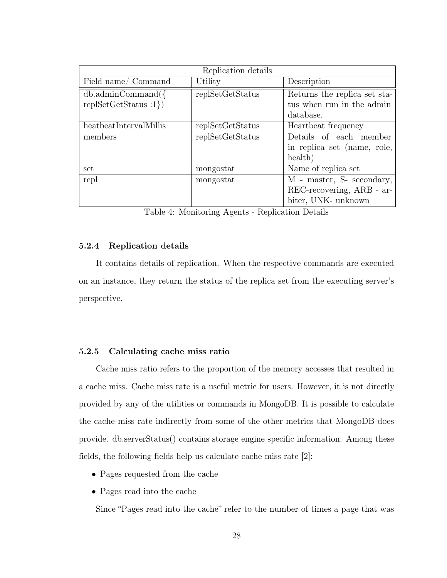<span id="page-38-2"></span>

| Replication details    |                  |                              |  |  |
|------------------------|------------------|------------------------------|--|--|
| Field name/ Command    | Utility          | Description                  |  |  |
| $db.addminCommand({}$  | replSetGetStatus | Returns the replica set sta- |  |  |
| replSetGetStatus : 1)  |                  | tus when run in the admin    |  |  |
|                        |                  | database.                    |  |  |
| heatbeatIntervalMillis | replSetGetStatus | Heartbeat frequency          |  |  |
| members                | replSetGetStatus | Details of each member       |  |  |
|                        |                  | in replica set (name, role,  |  |  |
|                        |                  | health)                      |  |  |
| set                    | mongostat        | Name of replica set          |  |  |
| repl                   | mongostat        | M - master, S- secondary,    |  |  |
|                        |                  | REC-recovering, ARB - ar-    |  |  |
|                        |                  | biter, UNK- unknown          |  |  |

Table 4: Monitoring Agents - Replication Details

#### <span id="page-38-0"></span>5.2.4 Replication details

It contains details of replication. When the respective commands are executed on an instance, they return the status of the replica set from the executing server's perspective.

## <span id="page-38-1"></span>5.2.5 Calculating cache miss ratio

Cache miss ratio refers to the proportion of the memory accesses that resulted in a cache miss. Cache miss rate is a useful metric for users. However, it is not directly provided by any of the utilities or commands in MongoDB. It is possible to calculate the cache miss rate indirectly from some of the other metrics that MongoDB does provide. db.serverStatus() contains storage engine specific information. Among these fields, the following fields help us calculate cache miss rate [\[2\]](#page-57-2):

- Pages requested from the cache
- Pages read into the cache

Since "Pages read into the cache" refer to the number of times a page that was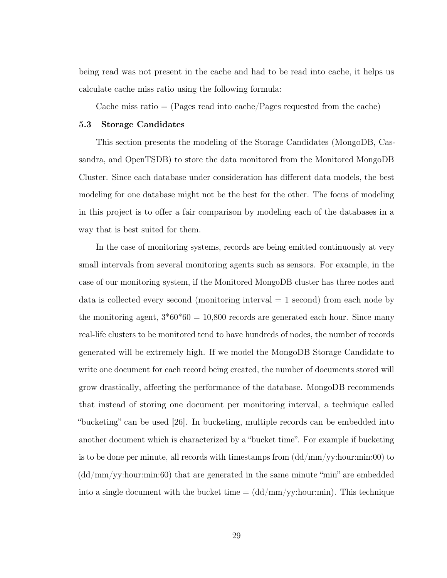being read was not present in the cache and had to be read into cache, it helps us calculate cache miss ratio using the following formula:

Cache miss ratio  $=$  (Pages read into cache/Pages requested from the cache)

# <span id="page-39-0"></span>5.3 Storage Candidates

This section presents the modeling of the Storage Candidates (MongoDB, Cassandra, and OpenTSDB) to store the data monitored from the Monitored MongoDB Cluster. Since each database under consideration has different data models, the best modeling for one database might not be the best for the other. The focus of modeling in this project is to offer a fair comparison by modeling each of the databases in a way that is best suited for them.

In the case of monitoring systems, records are being emitted continuously at very small intervals from several monitoring agents such as sensors. For example, in the case of our monitoring system, if the Monitored MongoDB cluster has three nodes and data is collected every second (monitoring interval  $= 1$  second) from each node by the monitoring agent,  $3*60*60 = 10,800$  records are generated each hour. Since many real-life clusters to be monitored tend to have hundreds of nodes, the number of records generated will be extremely high. If we model the MongoDB Storage Candidate to write one document for each record being created, the number of documents stored will grow drastically, affecting the performance of the database. MongoDB recommends that instead of storing one document per monitoring interval, a technique called "bucketing" can be used [\[26\]](#page-58-11). In bucketing, multiple records can be embedded into another document which is characterized by a "bucket time". For example if bucketing is to be done per minute, all records with timestamps from  $\left(\frac{dd}{mm}/\frac{ym}{y}\right)$ : hour:min: 00) to  $(\text{dd/mm/yy:}$ hour:min:60) that are generated in the same minute "min" are embedded into a single document with the bucket time  $= (dd/mm/yy:hour:min)$ . This technique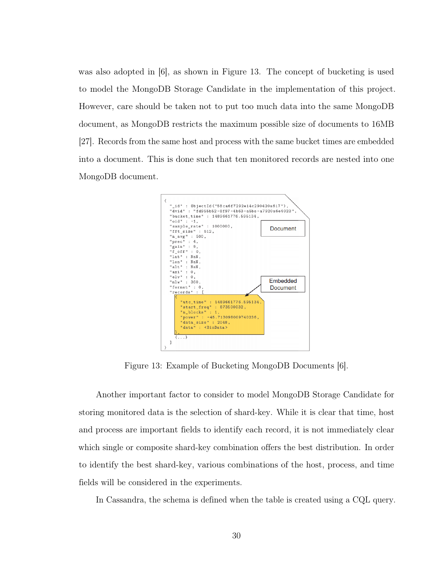was also adopted in [\[6\]](#page-57-6), as shown in Figure [13.](#page-40-0) The concept of bucketing is used to model the MongoDB Storage Candidate in the implementation of this project. However, care should be taken not to put too much data into the same MongoDB document, as MongoDB restricts the maximum possible size of documents to 16MB [\[27\]](#page-58-12). Records from the same host and process with the same bucket times are embedded into a document. This is done such that ten monitored records are nested into one MongoDB document.

<span id="page-40-0"></span>

Figure 13: Example of Bucketing MongoDB Documents [\[6\]](#page-57-6).

Another important factor to consider to model MongoDB Storage Candidate for storing monitored data is the selection of shard-key. While it is clear that time, host and process are important fields to identify each record, it is not immediately clear which single or composite shard-key combination offers the best distribution. In order to identify the best shard-key, various combinations of the host, process, and time fields will be considered in the experiments.

In Cassandra, the schema is defined when the table is created using a CQL query.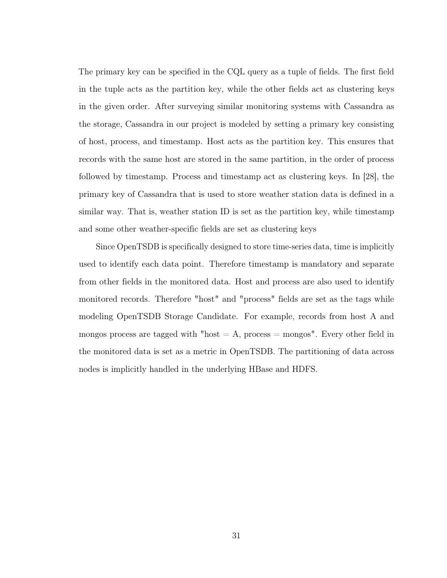The primary key can be specified in the CQL query as a tuple of fields. The first field in the tuple acts as the partition key, while the other fields act as clustering keys in the given order. After surveying similar monitoring systems with Cassandra as the storage, Cassandra in our project is modeled by setting a primary key consisting of host, process, and timestamp. Host acts as the partition key. This ensures that records with the same host are stored in the same partition, in the order of process followed by timestamp. Process and timestamp act as clustering keys. In [\[28\]](#page-59-0), the primary key of Cassandra that is used to store weather station data is defined in a similar way. That is, weather station ID is set as the partition key, while timestamp and some other weather-specific fields are set as clustering keys

Since OpenTSDB is specifically designed to store time-series data, time is implicitly used to identify each data point. Therefore timestamp is mandatory and separate from other fields in the monitored data. Host and process are also used to identify monitored records. Therefore "host" and "process" fields are set as the tags while modeling OpenTSDB Storage Candidate. For example, records from host A and mongos process are tagged with "host  $= A$ , process  $=$  mongos". Every other field in the monitored data is set as a metric in OpenTSDB. The partitioning of data across nodes is implicitly handled in the underlying HBase and HDFS.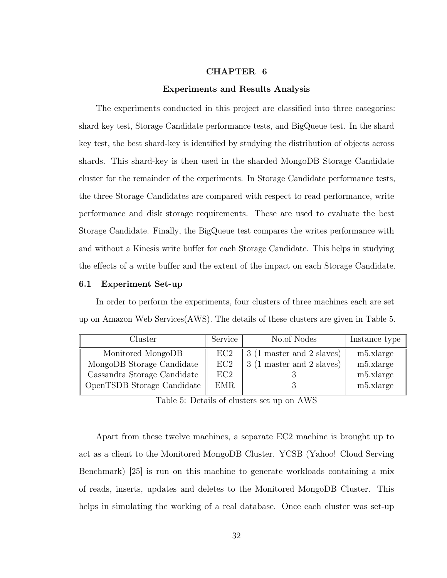# CHAPTER 6

#### Experiments and Results Analysis

<span id="page-42-0"></span>The experiments conducted in this project are classified into three categories: shard key test, Storage Candidate performance tests, and BigQueue test. In the shard key test, the best shard-key is identified by studying the distribution of objects across shards. This shard-key is then used in the sharded MongoDB Storage Candidate cluster for the remainder of the experiments. In Storage Candidate performance tests, the three Storage Candidates are compared with respect to read performance, write performance and disk storage requirements. These are used to evaluate the best Storage Candidate. Finally, the BigQueue test compares the writes performance with and without a Kinesis write buffer for each Storage Candidate. This helps in studying the effects of a write buffer and the extent of the impact on each Storage Candidate.

#### <span id="page-42-1"></span>6.1 Experiment Set-up

In order to perform the experiments, four clusters of three machines each are set up on Amazon Web Services(AWS). The details of these clusters are given in Table [5.](#page-42-2)

<span id="page-42-2"></span>

| Cluster                     | Service    | No.of Nodes               | Instance type |
|-----------------------------|------------|---------------------------|---------------|
| Monitored MongoDB           | EC2        | 3 (1 master and 2 slaves) | m5.xlarge     |
| MongoDB Storage Candidate   | EC2        | 3 (1 master and 2 slaves) | m5.xlarge     |
| Cassandra Storage Candidate | EC2        |                           | m5.xlarge     |
| OpenTSDB Storage Candidate  | <b>EMR</b> |                           | m5.xlarge     |

Table 5: Details of clusters set up on AWS

Apart from these twelve machines, a separate EC2 machine is brought up to act as a client to the Monitored MongoDB Cluster. YCSB (Yahoo! Cloud Serving Benchmark) [\[25\]](#page-58-10) is run on this machine to generate workloads containing a mix of reads, inserts, updates and deletes to the Monitored MongoDB Cluster. This helps in simulating the working of a real database. Once each cluster was set-up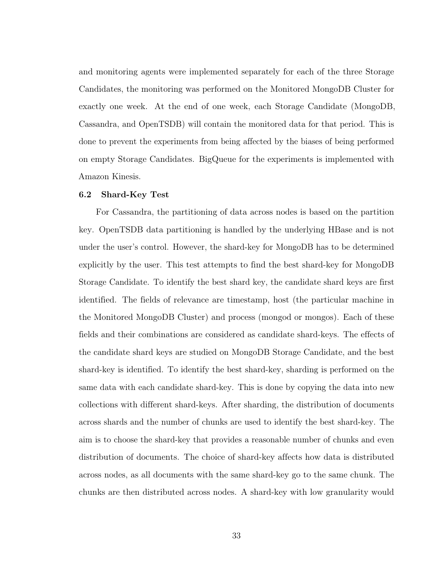and monitoring agents were implemented separately for each of the three Storage Candidates, the monitoring was performed on the Monitored MongoDB Cluster for exactly one week. At the end of one week, each Storage Candidate (MongoDB, Cassandra, and OpenTSDB) will contain the monitored data for that period. This is done to prevent the experiments from being affected by the biases of being performed on empty Storage Candidates. BigQueue for the experiments is implemented with Amazon Kinesis.

#### <span id="page-43-0"></span>6.2 Shard-Key Test

For Cassandra, the partitioning of data across nodes is based on the partition key. OpenTSDB data partitioning is handled by the underlying HBase and is not under the user's control. However, the shard-key for MongoDB has to be determined explicitly by the user. This test attempts to find the best shard-key for MongoDB Storage Candidate. To identify the best shard key, the candidate shard keys are first identified. The fields of relevance are timestamp, host (the particular machine in the Monitored MongoDB Cluster) and process (mongod or mongos). Each of these fields and their combinations are considered as candidate shard-keys. The effects of the candidate shard keys are studied on MongoDB Storage Candidate, and the best shard-key is identified. To identify the best shard-key, sharding is performed on the same data with each candidate shard-key. This is done by copying the data into new collections with different shard-keys. After sharding, the distribution of documents across shards and the number of chunks are used to identify the best shard-key. The aim is to choose the shard-key that provides a reasonable number of chunks and even distribution of documents. The choice of shard-key affects how data is distributed across nodes, as all documents with the same shard-key go to the same chunk. The chunks are then distributed across nodes. A shard-key with low granularity would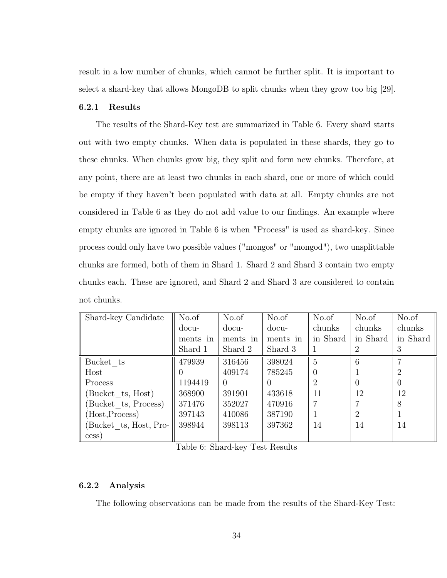result in a low number of chunks, which cannot be further split. It is important to select a shard-key that allows MongoDB to split chunks when they grow too big [\[29\]](#page-59-1).

#### <span id="page-44-0"></span>6.2.1 Results

The results of the Shard-Key test are summarized in Table [6.](#page-44-2) Every shard starts out with two empty chunks. When data is populated in these shards, they go to these chunks. When chunks grow big, they split and form new chunks. Therefore, at any point, there are at least two chunks in each shard, one or more of which could be empty if they haven't been populated with data at all. Empty chunks are not considered in Table [6](#page-44-2) as they do not add value to our findings. An example where empty chunks are ignored in Table [6](#page-44-2) is when "Process" is used as shard-key. Since process could only have two possible values ("mongos" or "mongod"), two unsplittable chunks are formed, both of them in Shard 1. Shard 2 and Shard 3 contain two empty chunks each. These are ignored, and Shard 2 and Shard 3 are considered to contain not chunks.

<span id="page-44-2"></span>

| Shard-key Candidate   | No.of    | No.of    | No.of    | No.of    | No.of          | No.of            |
|-----------------------|----------|----------|----------|----------|----------------|------------------|
|                       | docu-    | docu-    | docu-    | chunks   | chunks         | chunks           |
|                       | ments in | ments in | ments in | in Shard | in Shard       | in Shard         |
|                       | Shard 1  | Shard 2  | Shard 3  |          | 2              | 3                |
| Bucket ts             | 479939   | 316456   | 398024   | 5        | 6              | ⇁                |
| Host                  |          | 409174   | 785245   | 0        |                | 2                |
| Process               | 1194419  | $\Omega$ |          | 2        | $\theta$       | $\left( \right)$ |
| Bucket ts, Host)      | 368900   | 391901   | 433618   | 11       | 12             | 12               |
| Bucket ts, Process)   | 371476   | 352027   | 470916   |          |                | 8                |
| (Host, Process)       | 397143   | 410086   | 387190   |          | $\overline{2}$ |                  |
| Bucket ts, Host, Pro- | 398944   | 398113   | 397362   | 14       | 14             | 14               |
| cess)                 |          |          |          |          |                |                  |

Table 6: Shard-key Test Results

# <span id="page-44-1"></span>6.2.2 Analysis

The following observations can be made from the results of the Shard-Key Test: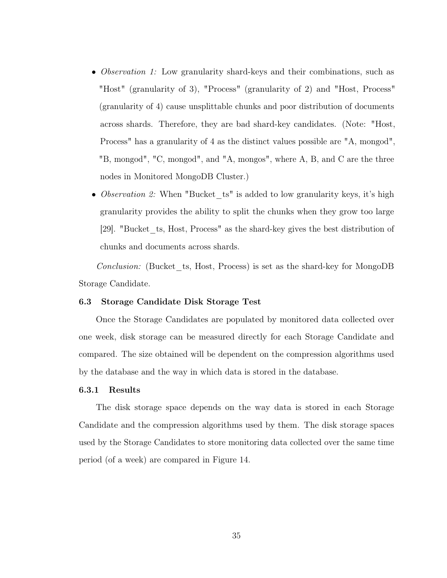- *Observation 1:* Low granularity shard-keys and their combinations, such as "Host" (granularity of 3), "Process" (granularity of 2) and "Host, Process" (granularity of 4) cause unsplittable chunks and poor distribution of documents across shards. Therefore, they are bad shard-key candidates. (Note: "Host, Process" has a granularity of 4 as the distinct values possible are "A, mongod", "B, mongod", "C, mongod", and "A, mongos", where A, B, and C are the three nodes in Monitored MongoDB Cluster.)
- Observation 2: When "Bucket ts" is added to low granularity keys, it's high granularity provides the ability to split the chunks when they grow too large [\[29\]](#page-59-1). "Bucket\_ts, Host, Process" as the shard-key gives the best distribution of chunks and documents across shards.

Conclusion: (Bucket ts, Host, Process) is set as the shard-key for MongoDB Storage Candidate.

#### <span id="page-45-0"></span>6.3 Storage Candidate Disk Storage Test

Once the Storage Candidates are populated by monitored data collected over one week, disk storage can be measured directly for each Storage Candidate and compared. The size obtained will be dependent on the compression algorithms used by the database and the way in which data is stored in the database.

#### <span id="page-45-1"></span>6.3.1 Results

The disk storage space depends on the way data is stored in each Storage Candidate and the compression algorithms used by them. The disk storage spaces used by the Storage Candidates to store monitoring data collected over the same time period (of a week) are compared in Figure [14.](#page-46-1)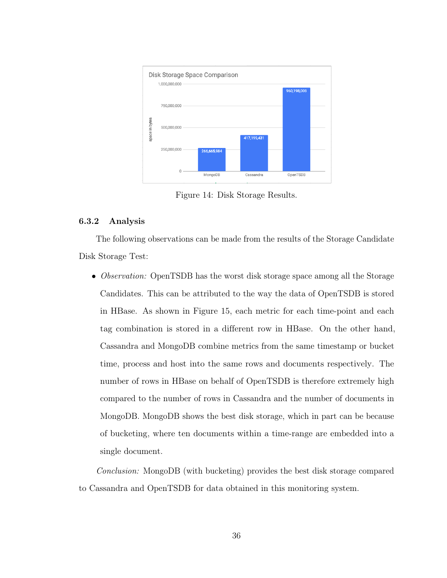<span id="page-46-1"></span>

Figure 14: Disk Storage Results.

# <span id="page-46-0"></span>6.3.2 Analysis

The following observations can be made from the results of the Storage Candidate Disk Storage Test:

• *Observation:* OpenTSDB has the worst disk storage space among all the Storage Candidates. This can be attributed to the way the data of OpenTSDB is stored in HBase. As shown in Figure [15,](#page-47-3) each metric for each time-point and each tag combination is stored in a different row in HBase. On the other hand, Cassandra and MongoDB combine metrics from the same timestamp or bucket time, process and host into the same rows and documents respectively. The number of rows in HBase on behalf of OpenTSDB is therefore extremely high compared to the number of rows in Cassandra and the number of documents in MongoDB. MongoDB shows the best disk storage, which in part can be because of bucketing, where ten documents within a time-range are embedded into a single document.

Conclusion: MongoDB (with bucketing) provides the best disk storage compared to Cassandra and OpenTSDB for data obtained in this monitoring system.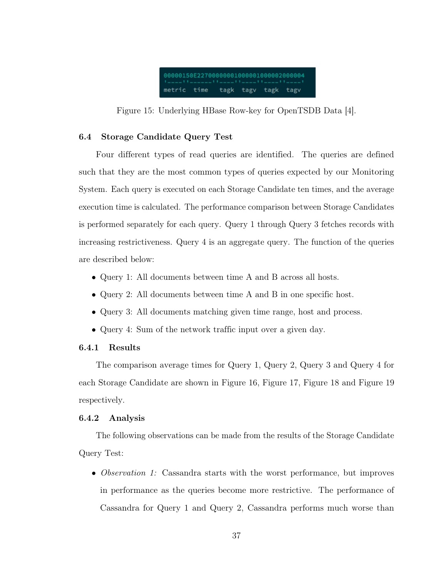<span id="page-47-3"></span>

Figure 15: Underlying HBase Row-key for OpenTSDB Data [\[4\]](#page-57-4).

# <span id="page-47-0"></span>6.4 Storage Candidate Query Test

Four different types of read queries are identified. The queries are defined such that they are the most common types of queries expected by our Monitoring System. Each query is executed on each Storage Candidate ten times, and the average execution time is calculated. The performance comparison between Storage Candidates is performed separately for each query. Query 1 through Query 3 fetches records with increasing restrictiveness. Query 4 is an aggregate query. The function of the queries are described below:

- Query 1: All documents between time A and B across all hosts.
- Query 2: All documents between time A and B in one specific host.
- Query 3: All documents matching given time range, host and process.
- Query 4: Sum of the network traffic input over a given day.

# <span id="page-47-1"></span>6.4.1 Results

The comparison average times for Query 1, Query 2, Query 3 and Query 4 for each Storage Candidate are shown in Figure [16,](#page-48-0) Figure [17,](#page-48-1) Figure [18](#page-49-0) and Figure [19](#page-49-1) respectively.

#### <span id="page-47-2"></span>6.4.2 Analysis

The following observations can be made from the results of the Storage Candidate Query Test:

• Observation 1: Cassandra starts with the worst performance, but improves in performance as the queries become more restrictive. The performance of Cassandra for Query 1 and Query 2, Cassandra performs much worse than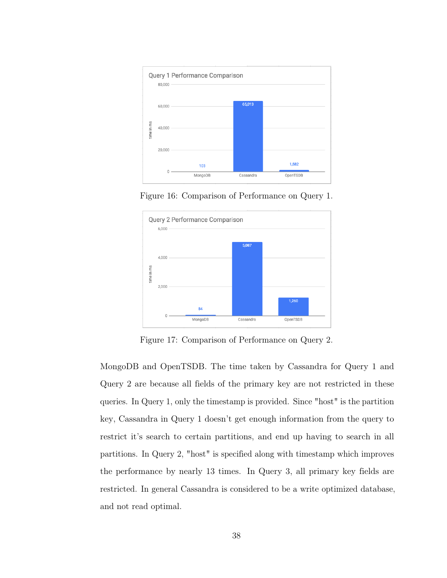<span id="page-48-0"></span>

Figure 16: Comparison of Performance on Query 1.

<span id="page-48-1"></span>

Figure 17: Comparison of Performance on Query 2.

MongoDB and OpenTSDB. The time taken by Cassandra for Query 1 and Query 2 are because all fields of the primary key are not restricted in these queries. In Query 1, only the timestamp is provided. Since "host" is the partition key, Cassandra in Query 1 doesn't get enough information from the query to restrict it's search to certain partitions, and end up having to search in all partitions. In Query 2, "host" is specified along with timestamp which improves the performance by nearly 13 times. In Query 3, all primary key fields are restricted. In general Cassandra is considered to be a write optimized database, and not read optimal.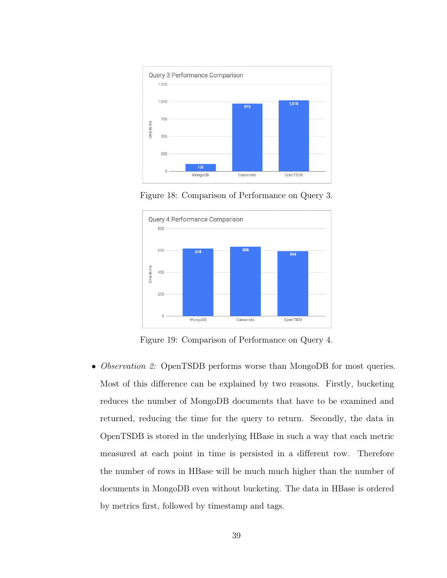<span id="page-49-0"></span>

Figure 18: Comparison of Performance on Query 3.

<span id="page-49-1"></span>

Figure 19: Comparison of Performance on Query 4.

• *Observation 2:* OpenTSDB performs worse than MongoDB for most queries. Most of this difference can be explained by two reasons. Firstly, bucketing reduces the number of MongoDB documents that have to be examined and returned, reducing the time for the query to return. Secondly, the data in OpenTSDB is stored in the underlying HBase in such a way that each metric measured at each point in time is persisted in a different row. Therefore the number of rows in HBase will be much much higher than the number of documents in MongoDB even without bucketing. The data in HBase is ordered by metrics first, followed by timestamp and tags.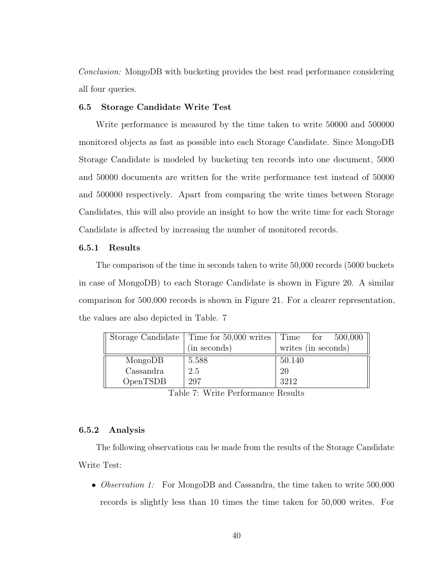Conclusion: MongoDB with bucketing provides the best read performance considering all four queries.

#### <span id="page-50-0"></span>6.5 Storage Candidate Write Test

Write performance is measured by the time taken to write 50000 and 500000 monitored objects as fast as possible into each Storage Candidate. Since MongoDB Storage Candidate is modeled by bucketing ten records into one document, 5000 and 50000 documents are written for the write performance test instead of 50000 and 500000 respectively. Apart from comparing the write times between Storage Candidates, this will also provide an insight to how the write time for each Storage Candidate is affected by increasing the number of monitored records.

#### <span id="page-50-1"></span>6.5.1 Results

The comparison of the time in seconds taken to write 50,000 records (5000 buckets in case of MongoDB) to each Storage Candidate is shown in Figure [20.](#page-51-0) A similar comparison for 500,000 records is shown in Figure [21.](#page-51-1) For a clearer representation, the values are also depicted in Table. [7](#page-50-3)

<span id="page-50-3"></span>

|           | Storage Candidate   Time for 50,000 writes | Time for $500,000$  |
|-----------|--------------------------------------------|---------------------|
|           | (in seconds)                               | writes (in seconds) |
| MongoDB   | 5.588                                      | 50.140              |
| Cassandra | 2.5                                        | 20                  |
| OpenTSDB  | 297                                        | 3212                |

Table 7: Write Performance Results

#### <span id="page-50-2"></span>6.5.2 Analysis

The following observations can be made from the results of the Storage Candidate Write Test:

• *Observation 1:* For MongoDB and Cassandra, the time taken to write 500,000 records is slightly less than 10 times the time taken for 50,000 writes. For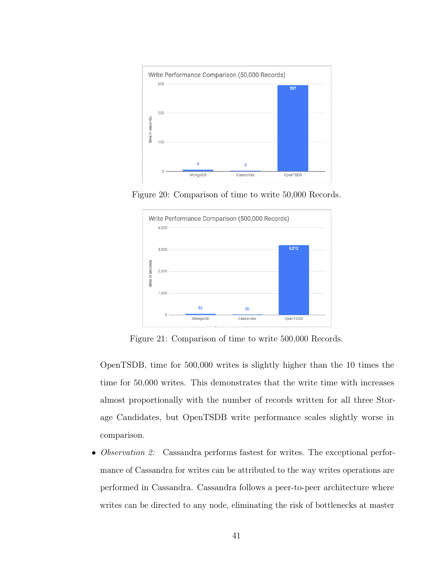<span id="page-51-0"></span>

<span id="page-51-1"></span>Figure 20: Comparison of time to write 50,000 Records.



Figure 21: Comparison of time to write 500,000 Records.

OpenTSDB, time for 500,000 writes is slightly higher than the 10 times the time for 50,000 writes. This demonstrates that the write time with increases almost proportionally with the number of records written for all three Storage Candidates, but OpenTSDB write performance scales slightly worse in comparison.

• Observation 2: Cassandra performs fastest for writes. The exceptional performance of Cassandra for writes can be attributed to the way writes operations are performed in Cassandra. Cassandra follows a peer-to-peer architecture where writes can be directed to any node, eliminating the risk of bottlenecks at master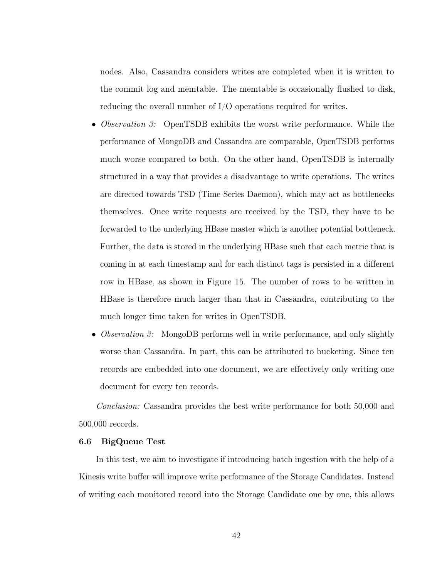nodes. Also, Cassandra considers writes are completed when it is written to the commit log and memtable. The memtable is occasionally flushed to disk, reducing the overall number of I/O operations required for writes.

- *Observation 3:* OpenTSDB exhibits the worst write performance. While the performance of MongoDB and Cassandra are comparable, OpenTSDB performs much worse compared to both. On the other hand, OpenTSDB is internally structured in a way that provides a disadvantage to write operations. The writes are directed towards TSD (Time Series Daemon), which may act as bottlenecks themselves. Once write requests are received by the TSD, they have to be forwarded to the underlying HBase master which is another potential bottleneck. Further, the data is stored in the underlying HBase such that each metric that is coming in at each timestamp and for each distinct tags is persisted in a different row in HBase, as shown in Figure [15.](#page-47-3) The number of rows to be written in HBase is therefore much larger than that in Cassandra, contributing to the much longer time taken for writes in OpenTSDB.
- *Observation 3*: MongoDB performs well in write performance, and only slightly worse than Cassandra. In part, this can be attributed to bucketing. Since ten records are embedded into one document, we are effectively only writing one document for every ten records.

Conclusion: Cassandra provides the best write performance for both 50,000 and 500,000 records.

#### <span id="page-52-0"></span>6.6 BigQueue Test

In this test, we aim to investigate if introducing batch ingestion with the help of a Kinesis write buffer will improve write performance of the Storage Candidates. Instead of writing each monitored record into the Storage Candidate one by one, this allows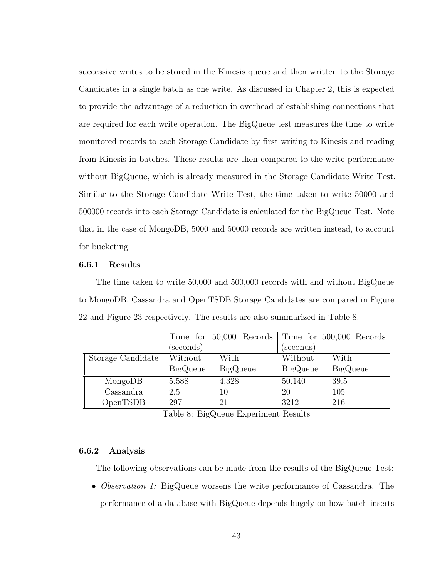successive writes to be stored in the Kinesis queue and then written to the Storage Candidates in a single batch as one write. As discussed in Chapter 2, this is expected to provide the advantage of a reduction in overhead of establishing connections that are required for each write operation. The BigQueue test measures the time to write monitored records to each Storage Candidate by first writing to Kinesis and reading from Kinesis in batches. These results are then compared to the write performance without BigQueue, which is already measured in the Storage Candidate Write Test. Similar to the Storage Candidate Write Test, the time taken to write 50000 and 500000 records into each Storage Candidate is calculated for the BigQueue Test. Note that in the case of MongoDB, 5000 and 50000 records are written instead, to account for bucketing.

#### <span id="page-53-0"></span>6.6.1 Results

The time taken to write 50,000 and 500,000 records with and without BigQueue to MongoDB, Cassandra and OpenTSDB Storage Candidates are compared in Figure [22](#page-54-0) and Figure [23](#page-54-1) respectively. The results are also summarized in Table [8.](#page-53-2)

<span id="page-53-2"></span>

|                   |                 | Time for 50,000 Records |                 | Time for 500,000 Records |  |
|-------------------|-----------------|-------------------------|-----------------|--------------------------|--|
|                   | (seconds)       |                         | (seconds)       |                          |  |
| Storage Candidate | Without         | With                    | Without         | With                     |  |
|                   | <b>BigQueue</b> | <b>BigQueue</b>         | <b>BigQueue</b> | <b>BigQueue</b>          |  |
| MongoDB           | 5.588           | 4.328                   | 50.140          | 39.5                     |  |
| Cassandra         | 2.5             | 10                      | 20              | 105                      |  |
| OpenTSDB          | 297             | 21                      | 3212            | 216                      |  |

Table 8: BigQueue Experiment Results

#### <span id="page-53-1"></span>6.6.2 Analysis

The following observations can be made from the results of the BigQueue Test:

• *Observation 1:* BigQueue worsens the write performance of Cassandra. The performance of a database with BigQueue depends hugely on how batch inserts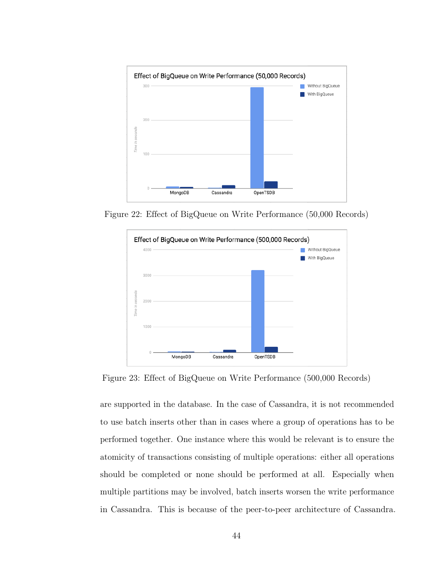<span id="page-54-0"></span>

<span id="page-54-1"></span>Figure 22: Effect of BigQueue on Write Performance (50,000 Records)



Figure 23: Effect of BigQueue on Write Performance (500,000 Records)

are supported in the database. In the case of Cassandra, it is not recommended to use batch inserts other than in cases where a group of operations has to be performed together. One instance where this would be relevant is to ensure the atomicity of transactions consisting of multiple operations: either all operations should be completed or none should be performed at all. Especially when multiple partitions may be involved, batch inserts worsen the write performance in Cassandra. This is because of the peer-to-peer architecture of Cassandra.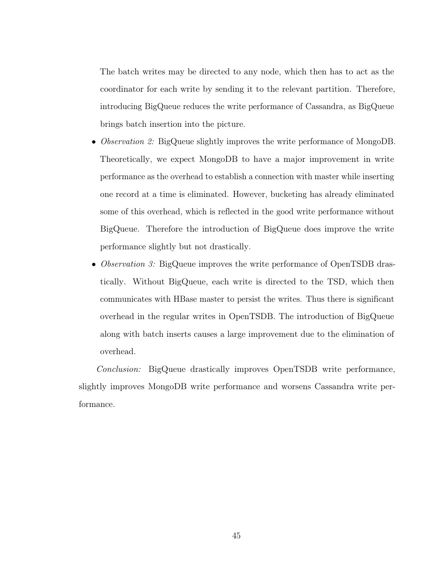The batch writes may be directed to any node, which then has to act as the coordinator for each write by sending it to the relevant partition. Therefore, introducing BigQueue reduces the write performance of Cassandra, as BigQueue brings batch insertion into the picture.

- *Observation 2:* BigQueue slightly improves the write performance of MongoDB. Theoretically, we expect MongoDB to have a major improvement in write performance as the overhead to establish a connection with master while inserting one record at a time is eliminated. However, bucketing has already eliminated some of this overhead, which is reflected in the good write performance without BigQueue. Therefore the introduction of BigQueue does improve the write performance slightly but not drastically.
- Observation 3: BigQueue improves the write performance of OpenTSDB drastically. Without BigQueue, each write is directed to the TSD, which then communicates with HBase master to persist the writes. Thus there is significant overhead in the regular writes in OpenTSDB. The introduction of BigQueue along with batch inserts causes a large improvement due to the elimination of overhead.

Conclusion: BigQueue drastically improves OpenTSDB write performance, slightly improves MongoDB write performance and worsens Cassandra write performance.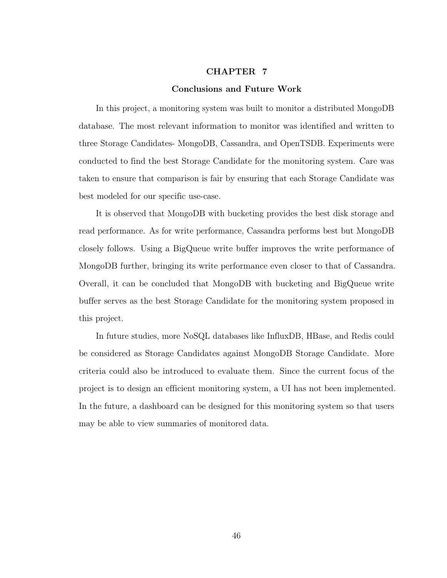## CHAPTER 7

#### Conclusions and Future Work

<span id="page-56-0"></span>In this project, a monitoring system was built to monitor a distributed MongoDB database. The most relevant information to monitor was identified and written to three Storage Candidates- MongoDB, Cassandra, and OpenTSDB. Experiments were conducted to find the best Storage Candidate for the monitoring system. Care was taken to ensure that comparison is fair by ensuring that each Storage Candidate was best modeled for our specific use-case.

It is observed that MongoDB with bucketing provides the best disk storage and read performance. As for write performance, Cassandra performs best but MongoDB closely follows. Using a BigQueue write buffer improves the write performance of MongoDB further, bringing its write performance even closer to that of Cassandra. Overall, it can be concluded that MongoDB with bucketing and BigQueue write buffer serves as the best Storage Candidate for the monitoring system proposed in this project.

In future studies, more NoSQL databases like InfluxDB, HBase, and Redis could be considered as Storage Candidates against MongoDB Storage Candidate. More criteria could also be introduced to evaluate them. Since the current focus of the project is to design an efficient monitoring system, a UI has not been implemented. In the future, a dashboard can be designed for this monitoring system so that users may be able to view summaries of monitored data.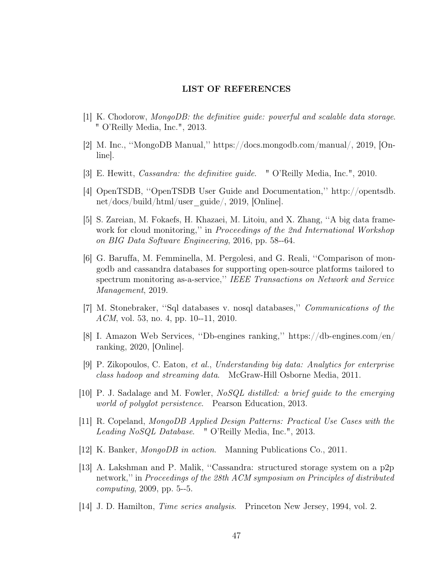# LIST OF REFERENCES

- <span id="page-57-1"></span><span id="page-57-0"></span>[1] K. Chodorow, MongoDB: the definitive guide: powerful and scalable data storage. " O'Reilly Media, Inc.", 2013.
- <span id="page-57-2"></span>[2] M. Inc., ''MongoDB Manual,'' [https://docs.mongodb.com/manual/,](https://docs.mongodb.com/manual/) 2019, [Online].
- <span id="page-57-3"></span>[3] E. Hewitt, Cassandra: the definitive guide. " O'Reilly Media, Inc.", 2010.
- <span id="page-57-4"></span>[4] OpenTSDB, ''OpenTSDB User Guide and Documentation,'' [http://opentsdb.](http://opentsdb.net/docs/build/html/user_guide/) [net/docs/build/html/user\\_guide/,](http://opentsdb.net/docs/build/html/user_guide/) 2019, [Online].
- <span id="page-57-5"></span>[5] S. Zareian, M. Fokaefs, H. Khazaei, M. Litoiu, and X. Zhang, ''A big data framework for cloud monitoring," in *Proceedings of the 2nd International Workshop* on BIG Data Software Engineering, 2016, pp. 58--64.
- <span id="page-57-6"></span>[6] G. Baruffa, M. Femminella, M. Pergolesi, and G. Reali, ''Comparison of mongodb and cassandra databases for supporting open-source platforms tailored to spectrum monitoring as-a-service,'' IEEE Transactions on Network and Service Management, 2019.
- <span id="page-57-7"></span>[7] M. Stonebraker, ''Sql databases v. nosql databases,'' Communications of the ACM, vol. 53, no. 4, pp. 10--11, 2010.
- <span id="page-57-8"></span>[8] I. Amazon Web Services, ''Db-engines ranking,'' [https://db-engines.com/en/](https://db-engines.com/en/ranking) [ranking,](https://db-engines.com/en/ranking) 2020, [Online].
- <span id="page-57-9"></span>[9] P. Zikopoulos, C. Eaton, et al., Understanding big data: Analytics for enterprise class hadoop and streaming data. McGraw-Hill Osborne Media, 2011.
- <span id="page-57-10"></span>[10] P. J. Sadalage and M. Fowler, NoSQL distilled: a brief guide to the emerging world of polyglot persistence. Pearson Education, 2013.
- <span id="page-57-11"></span>[11] R. Copeland, MongoDB Applied Design Patterns: Practical Use Cases with the Leading NoSQL Database. " O'Reilly Media, Inc.", 2013.
- <span id="page-57-12"></span>[12] K. Banker, MongoDB in action. Manning Publications Co., 2011.
- <span id="page-57-13"></span>[13] A. Lakshman and P. Malik, ''Cassandra: structured storage system on a p2p network,'' in Proceedings of the 28th ACM symposium on Principles of distributed computing, 2009, pp. 5--5.
- <span id="page-57-14"></span>[14] J. D. Hamilton, Time series analysis. Princeton New Jersey, 1994, vol. 2.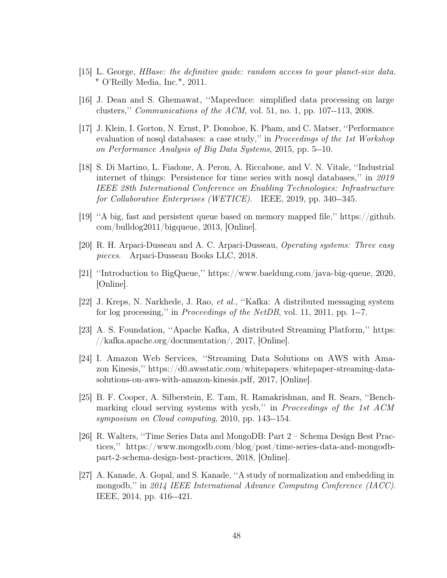- <span id="page-58-0"></span>[15] L. George, HBase: the definitive guide: random access to your planet-size data. " O'Reilly Media, Inc.", 2011.
- <span id="page-58-1"></span>[16] J. Dean and S. Ghemawat, ''Mapreduce: simplified data processing on large clusters,'' Communications of the ACM, vol. 51, no. 1, pp. 107--113, 2008.
- <span id="page-58-2"></span>[17] J. Klein, I. Gorton, N. Ernst, P. Donohoe, K. Pham, and C. Matser, ''Performance evaluation of nosql databases: a case study," in *Proceedings of the 1st Workshop* on Performance Analysis of Big Data Systems, 2015, pp. 5--10.
- <span id="page-58-3"></span>[18] S. Di Martino, L. Fiadone, A. Peron, A. Riccabone, and V. N. Vitale, ''Industrial internet of things: Persistence for time series with nosql databases,'' in 2019 IEEE 28th International Conference on Enabling Technologies: Infrastructure for Collaborative Enterprises (WETICE). IEEE, 2019, pp. 340--345.
- <span id="page-58-4"></span>[19] ''A big, fast and persistent queue based on memory mapped file,'' [https://github.](https://github.com/bulldog2011/bigqueue) [com/bulldog2011/bigqueue,](https://github.com/bulldog2011/bigqueue) 2013, [Online].
- <span id="page-58-5"></span>[20] R. H. Arpaci-Dusseau and A. C. Arpaci-Dusseau, Operating systems: Three easy pieces. Arpaci-Dusseau Books LLC, 2018.
- <span id="page-58-6"></span>[21] ''Introduction to BigQueue,'' [https://www.baeldung.com/java-big-queue,](https://www.baeldung.com/java-big-queue) 2020, [Online].
- <span id="page-58-7"></span>[22] J. Kreps, N. Narkhede, J. Rao, et al., ''Kafka: A distributed messaging system for log processing,'' in Proceedings of the NetDB, vol. 11, 2011, pp. 1--7.
- <span id="page-58-8"></span>[23] A. S. Foundation, ''Apache Kafka, A distributed Streaming Platform,'' [https:](https://kafka.apache.org/documentation/) [//kafka.apache.org/documentation/,](https://kafka.apache.org/documentation/) 2017, [Online].
- <span id="page-58-9"></span>[24] I. Amazon Web Services, ''Streaming Data Solutions on AWS with Amazon Kinesis,'' [https://d0.awsstatic.com/whitepapers/whitepaper-streaming-data](https://d0.awsstatic.com/whitepapers/whitepaper-streaming-data-solutions-on-aws-with-amazon-kinesis.pdf)[solutions-on-aws-with-amazon-kinesis.pdf,](https://d0.awsstatic.com/whitepapers/whitepaper-streaming-data-solutions-on-aws-with-amazon-kinesis.pdf) 2017, [Online].
- <span id="page-58-10"></span>[25] B. F. Cooper, A. Silberstein, E. Tam, R. Ramakrishnan, and R. Sears, ''Benchmarking cloud serving systems with ycsb," in *Proceedings of the 1st ACM* symposium on Cloud computing, 2010, pp. 143--154.
- <span id="page-58-11"></span>[26] R. Walters, ''Time Series Data and MongoDB: Part 2 – Schema Design Best Practices,'' [https://www.mongodb.com/blog/post/time-series-data-and-mongodb](https://www.mongodb.com/blog/post/time-series-data-and-mongodb-part-2-schema-design-best-practices)[part-2-schema-design-best-practices,](https://www.mongodb.com/blog/post/time-series-data-and-mongodb-part-2-schema-design-best-practices) 2018, [Online].
- <span id="page-58-12"></span>[27] A. Kanade, A. Gopal, and S. Kanade, ''A study of normalization and embedding in mongodb,'' in 2014 IEEE International Advance Computing Conference (IACC). IEEE, 2014, pp. 416--421.